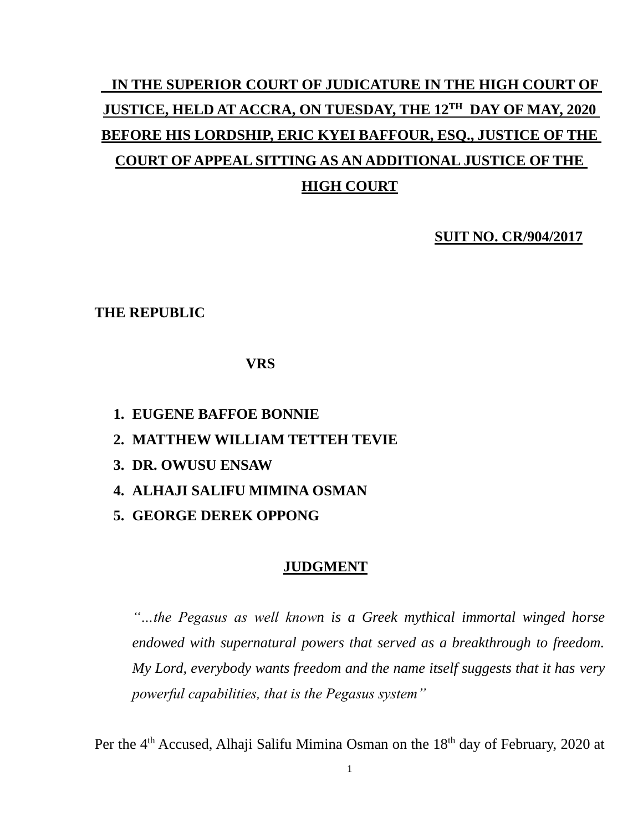# **IN THE SUPERIOR COURT OF JUDICATURE IN THE HIGH COURT OF JUSTICE, HELD AT ACCRA, ON TUESDAY, THE 12TH DAY OF MAY, 2020 BEFORE HIS LORDSHIP, ERIC KYEI BAFFOUR, ESQ., JUSTICE OF THE COURT OF APPEAL SITTING AS AN ADDITIONAL JUSTICE OF THE HIGH COURT**

**SUIT NO. CR/904/2017**

### **THE REPUBLIC**

**VRS**

- **1. EUGENE BAFFOE BONNIE**
- **2. MATTHEW WILLIAM TETTEH TEVIE**
- **3. DR. OWUSU ENSAW**
- **4. ALHAJI SALIFU MIMINA OSMAN**
- **5. GEORGE DEREK OPPONG**

#### **JUDGMENT**

*"…the Pegasus as well known is a Greek mythical immortal winged horse endowed with supernatural powers that served as a breakthrough to freedom. My Lord, everybody wants freedom and the name itself suggests that it has very powerful capabilities, that is the Pegasus system"*

Per the 4<sup>th</sup> Accused, Alhaji Salifu Mimina Osman on the 18<sup>th</sup> day of February, 2020 at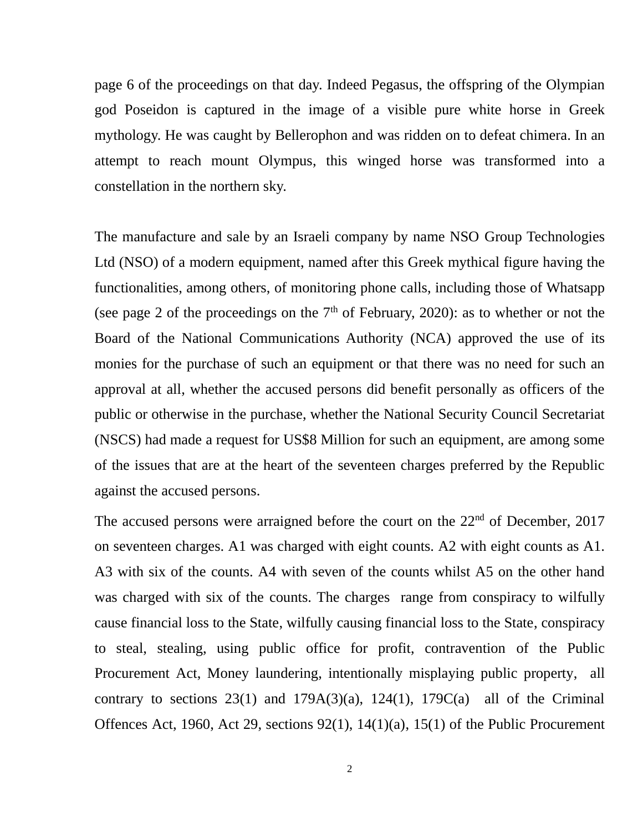page 6 of the proceedings on that day. Indeed Pegasus, the offspring of the Olympian god Poseidon is captured in the image of a visible pure white horse in Greek mythology. He was caught by Bellerophon and was ridden on to defeat chimera. In an attempt to reach mount Olympus, this winged horse was transformed into a constellation in the northern sky.

The manufacture and sale by an Israeli company by name NSO Group Technologies Ltd (NSO) of a modern equipment, named after this Greek mythical figure having the functionalities, among others, of monitoring phone calls, including those of Whatsapp (see page 2 of the proceedings on the  $7<sup>th</sup>$  of February, 2020): as to whether or not the Board of the National Communications Authority (NCA) approved the use of its monies for the purchase of such an equipment or that there was no need for such an approval at all, whether the accused persons did benefit personally as officers of the public or otherwise in the purchase, whether the National Security Council Secretariat (NSCS) had made a request for US\$8 Million for such an equipment, are among some of the issues that are at the heart of the seventeen charges preferred by the Republic against the accused persons.

The accused persons were arraigned before the court on the  $22<sup>nd</sup>$  of December, 2017 on seventeen charges. A1 was charged with eight counts. A2 with eight counts as A1. A3 with six of the counts. A4 with seven of the counts whilst A5 on the other hand was charged with six of the counts. The charges range from conspiracy to wilfully cause financial loss to the State, wilfully causing financial loss to the State, conspiracy to steal, stealing, using public office for profit, contravention of the Public Procurement Act, Money laundering, intentionally misplaying public property, all contrary to sections  $23(1)$  and  $179A(3)(a)$ ,  $124(1)$ ,  $179C(a)$  all of the Criminal Offences Act, 1960, Act 29, sections 92(1), 14(1)(a), 15(1) of the Public Procurement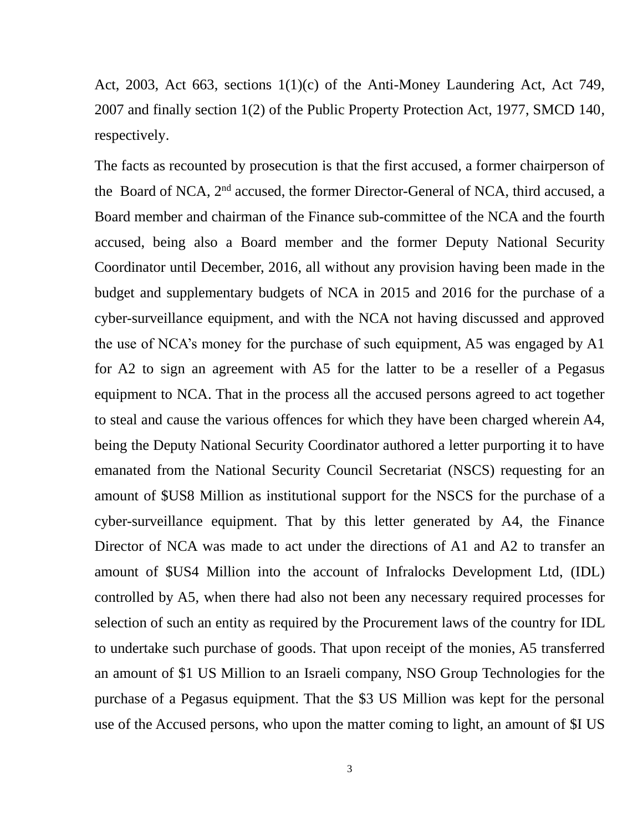Act, 2003, Act 663, sections 1(1)(c) of the Anti-Money Laundering Act, Act 749, 2007 and finally section 1(2) of the Public Property Protection Act, 1977, SMCD 140, respectively.

The facts as recounted by prosecution is that the first accused, a former chairperson of the Board of NCA, 2<sup>nd</sup> accused, the former Director-General of NCA, third accused, a Board member and chairman of the Finance sub-committee of the NCA and the fourth accused, being also a Board member and the former Deputy National Security Coordinator until December, 2016, all without any provision having been made in the budget and supplementary budgets of NCA in 2015 and 2016 for the purchase of a cyber-surveillance equipment, and with the NCA not having discussed and approved the use of NCA's money for the purchase of such equipment, A5 was engaged by A1 for A2 to sign an agreement with A5 for the latter to be a reseller of a Pegasus equipment to NCA. That in the process all the accused persons agreed to act together to steal and cause the various offences for which they have been charged wherein A4, being the Deputy National Security Coordinator authored a letter purporting it to have emanated from the National Security Council Secretariat (NSCS) requesting for an amount of \$US8 Million as institutional support for the NSCS for the purchase of a cyber-surveillance equipment. That by this letter generated by A4, the Finance Director of NCA was made to act under the directions of A1 and A2 to transfer an amount of \$US4 Million into the account of Infralocks Development Ltd, (IDL) controlled by A5, when there had also not been any necessary required processes for selection of such an entity as required by the Procurement laws of the country for IDL to undertake such purchase of goods. That upon receipt of the monies, A5 transferred an amount of \$1 US Million to an Israeli company, NSO Group Technologies for the purchase of a Pegasus equipment. That the \$3 US Million was kept for the personal use of the Accused persons, who upon the matter coming to light, an amount of \$I US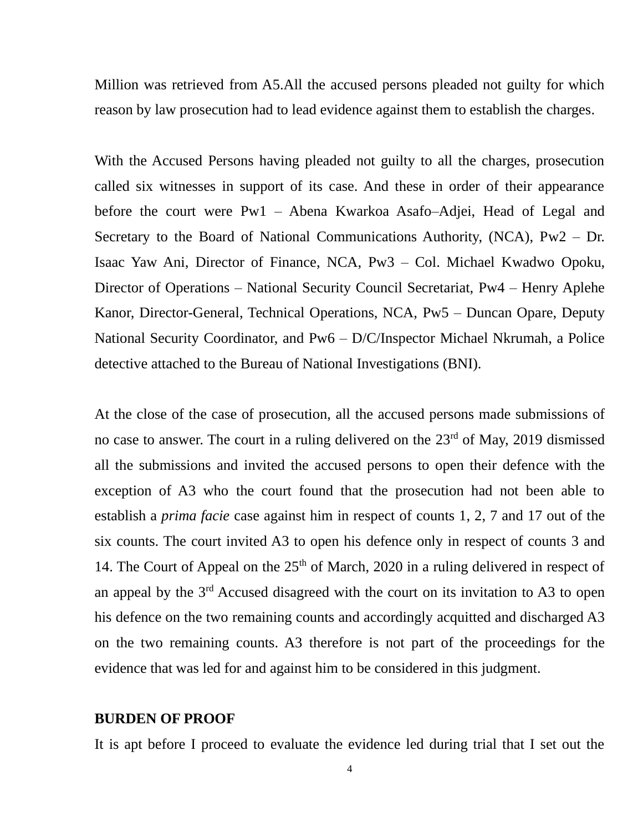Million was retrieved from A5.All the accused persons pleaded not guilty for which reason by law prosecution had to lead evidence against them to establish the charges.

With the Accused Persons having pleaded not guilty to all the charges, prosecution called six witnesses in support of its case. And these in order of their appearance before the court were Pw1 – Abena Kwarkoa Asafo–Adjei, Head of Legal and Secretary to the Board of National Communications Authority, (NCA), Pw2 – Dr. Isaac Yaw Ani, Director of Finance, NCA, Pw3 – Col. Michael Kwadwo Opoku, Director of Operations – National Security Council Secretariat, Pw4 – Henry Aplehe Kanor, Director-General, Technical Operations, NCA, Pw5 – Duncan Opare, Deputy National Security Coordinator, and Pw6 – D/C/Inspector Michael Nkrumah, a Police detective attached to the Bureau of National Investigations (BNI).

At the close of the case of prosecution, all the accused persons made submissions of no case to answer. The court in a ruling delivered on the  $23<sup>rd</sup>$  of May, 2019 dismissed all the submissions and invited the accused persons to open their defence with the exception of A3 who the court found that the prosecution had not been able to establish a *prima facie* case against him in respect of counts 1, 2, 7 and 17 out of the six counts. The court invited A3 to open his defence only in respect of counts 3 and 14. The Court of Appeal on the  $25<sup>th</sup>$  of March, 2020 in a ruling delivered in respect of an appeal by the 3rd Accused disagreed with the court on its invitation to A3 to open his defence on the two remaining counts and accordingly acquitted and discharged A3 on the two remaining counts. A3 therefore is not part of the proceedings for the evidence that was led for and against him to be considered in this judgment.

#### **BURDEN OF PROOF**

It is apt before I proceed to evaluate the evidence led during trial that I set out the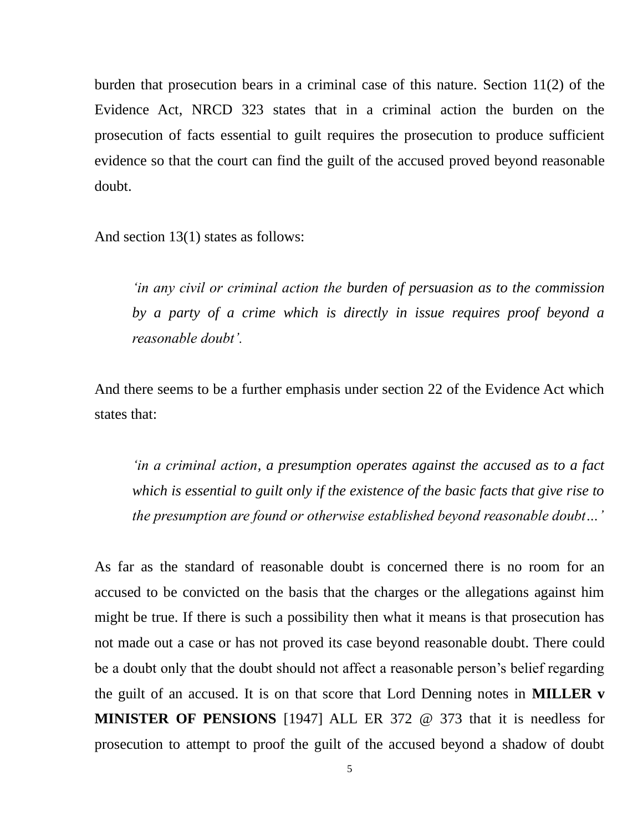burden that prosecution bears in a criminal case of this nature. Section 11(2) of the Evidence Act, NRCD 323 states that in a criminal action the burden on the prosecution of facts essential to guilt requires the prosecution to produce sufficient evidence so that the court can find the guilt of the accused proved beyond reasonable doubt.

And section 13(1) states as follows:

*'in any civil or criminal action the burden of persuasion as to the commission by a party of a crime which is directly in issue requires proof beyond a reasonable doubt'.*

And there seems to be a further emphasis under section 22 of the Evidence Act which states that:

*'in a criminal action, a presumption operates against the accused as to a fact which is essential to guilt only if the existence of the basic facts that give rise to the presumption are found or otherwise established beyond reasonable doubt…'*

As far as the standard of reasonable doubt is concerned there is no room for an accused to be convicted on the basis that the charges or the allegations against him might be true. If there is such a possibility then what it means is that prosecution has not made out a case or has not proved its case beyond reasonable doubt. There could be a doubt only that the doubt should not affect a reasonable person's belief regarding the guilt of an accused. It is on that score that Lord Denning notes in **MILLER v MINISTER OF PENSIONS** [1947] ALL ER 372 @ 373 that it is needless for prosecution to attempt to proof the guilt of the accused beyond a shadow of doubt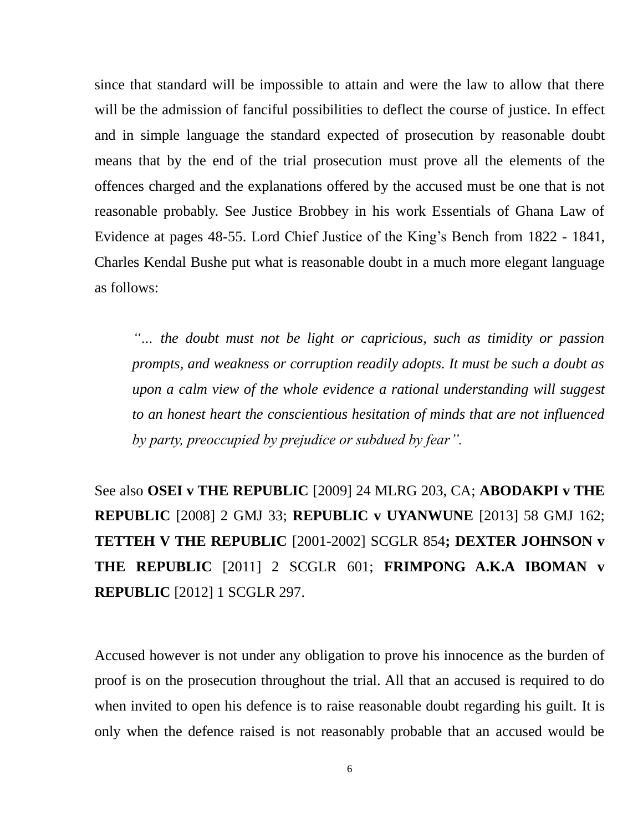since that standard will be impossible to attain and were the law to allow that there will be the admission of fanciful possibilities to deflect the course of justice. In effect and in simple language the standard expected of prosecution by reasonable doubt means that by the end of the trial prosecution must prove all the elements of the offences charged and the explanations offered by the accused must be one that is not reasonable probably. See Justice Brobbey in his work Essentials of Ghana Law of Evidence at pages 48-55. Lord Chief Justice of the King's Bench from 1822 - 1841, Charles Kendal Bushe put what is reasonable doubt in a much more elegant language as follows:

*''… the doubt must not be light or capricious, such as timidity or passion prompts, and weakness or corruption readily adopts. It must be such a doubt as upon a calm view of the whole evidence a rational understanding will suggest to an honest heart the conscientious hesitation of minds that are not influenced by party, preoccupied by prejudice or subdued by fear''.*

See also **OSEI v THE REPUBLIC** [2009] 24 MLRG 203, CA; **ABODAKPI v THE REPUBLIC** [2008] 2 GMJ 33; **REPUBLIC v UYANWUNE** [2013] 58 GMJ 162; **TETTEH V THE REPUBLIC** [2001-2002] SCGLR 854**; DEXTER JOHNSON v THE REPUBLIC** [2011] 2 SCGLR 601; **FRIMPONG A.K.A IBOMAN v REPUBLIC** [2012] 1 SCGLR 297.

Accused however is not under any obligation to prove his innocence as the burden of proof is on the prosecution throughout the trial. All that an accused is required to do when invited to open his defence is to raise reasonable doubt regarding his guilt. It is only when the defence raised is not reasonably probable that an accused would be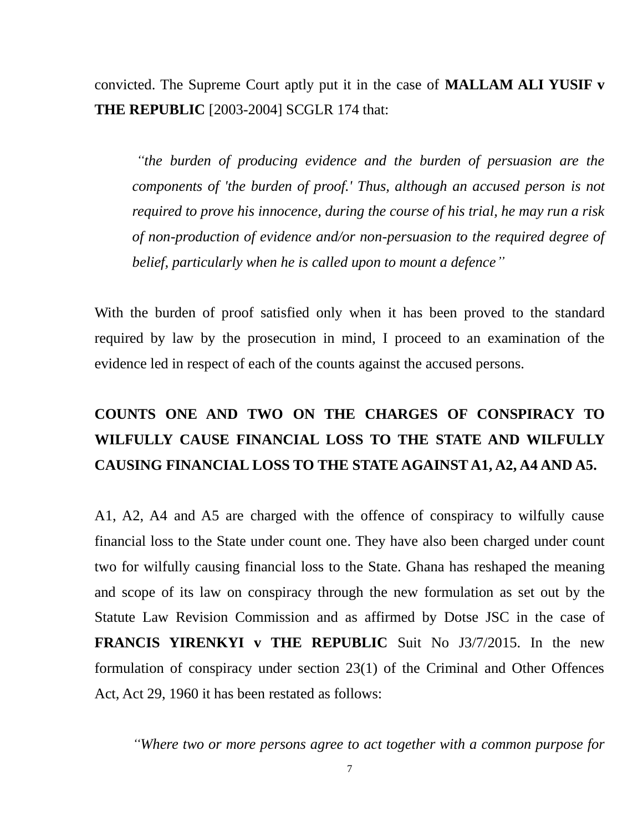convicted. The Supreme Court aptly put it in the case of **MALLAM ALI YUSIF v THE REPUBLIC** [2003-2004] SCGLR 174 that:

*"the burden of producing evidence and the burden of persuasion are the components of 'the burden of proof.' Thus, although an accused person is not required to prove his innocence, during the course of his trial, he may run a risk of non-production of evidence and/or non-persuasion to the required degree of belief, particularly when he is called upon to mount a defence''*

With the burden of proof satisfied only when it has been proved to the standard required by law by the prosecution in mind, I proceed to an examination of the evidence led in respect of each of the counts against the accused persons.

# **COUNTS ONE AND TWO ON THE CHARGES OF CONSPIRACY TO WILFULLY CAUSE FINANCIAL LOSS TO THE STATE AND WILFULLY CAUSING FINANCIAL LOSS TO THE STATE AGAINST A1, A2, A4 AND A5.**

A1, A2, A4 and A5 are charged with the offence of conspiracy to wilfully cause financial loss to the State under count one. They have also been charged under count two for wilfully causing financial loss to the State. Ghana has reshaped the meaning and scope of its law on conspiracy through the new formulation as set out by the Statute Law Revision Commission and as affirmed by Dotse JSC in the case of **FRANCIS YIRENKYI v THE REPUBLIC** Suit No J3/7/2015. In the new formulation of conspiracy under section 23(1) of the Criminal and Other Offences Act, Act 29, 1960 it has been restated as follows:

*"Where two or more persons agree to act together with a common purpose for*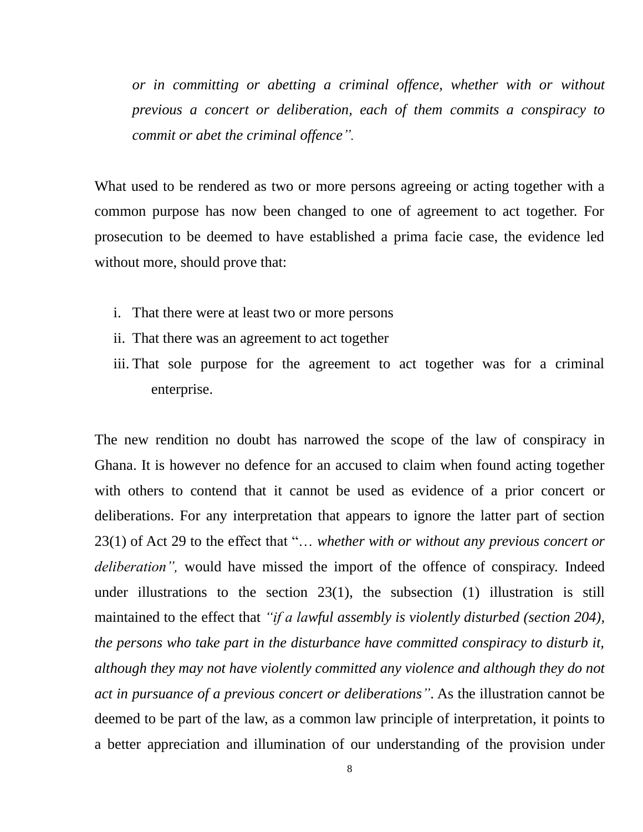*or in committing or abetting a criminal offence, whether with or without previous a concert or deliberation, each of them commits a conspiracy to commit or abet the criminal offence".*

What used to be rendered as two or more persons agreeing or acting together with a common purpose has now been changed to one of agreement to act together. For prosecution to be deemed to have established a prima facie case, the evidence led without more, should prove that:

- i. That there were at least two or more persons
- ii. That there was an agreement to act together
- iii. That sole purpose for the agreement to act together was for a criminal enterprise.

The new rendition no doubt has narrowed the scope of the law of conspiracy in Ghana. It is however no defence for an accused to claim when found acting together with others to contend that it cannot be used as evidence of a prior concert or deliberations. For any interpretation that appears to ignore the latter part of section 23(1) of Act 29 to the effect that "… *whether with or without any previous concert or deliberation",* would have missed the import of the offence of conspiracy. Indeed under illustrations to the section  $23(1)$ , the subsection  $(1)$  illustration is still maintained to the effect that *"if a lawful assembly is violently disturbed (section 204), the persons who take part in the disturbance have committed conspiracy to disturb it, although they may not have violently committed any violence and although they do not act in pursuance of a previous concert or deliberations"*. As the illustration cannot be deemed to be part of the law, as a common law principle of interpretation, it points to a better appreciation and illumination of our understanding of the provision under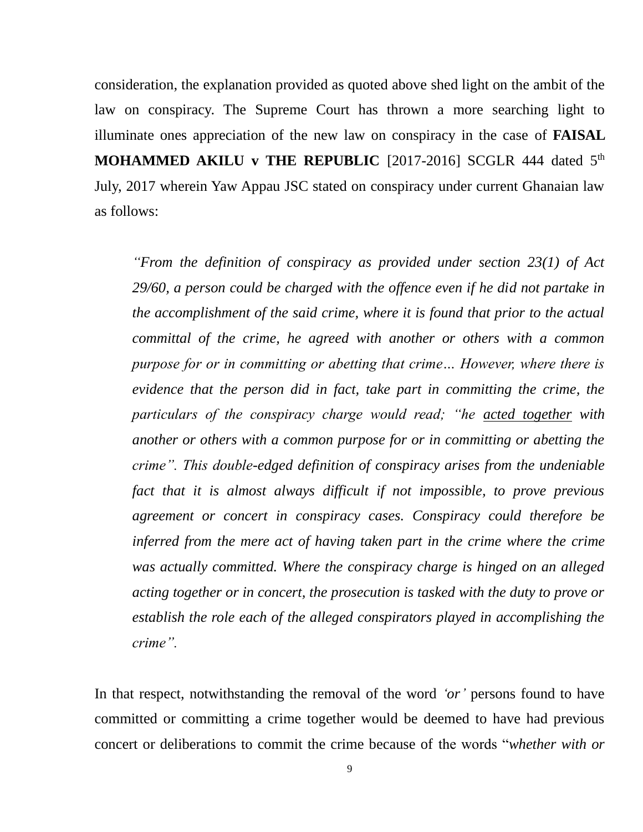consideration, the explanation provided as quoted above shed light on the ambit of the law on conspiracy. The Supreme Court has thrown a more searching light to illuminate ones appreciation of the new law on conspiracy in the case of **FAISAL MOHAMMED AKILU v THE REPUBLIC** [2017-2016] SCGLR 444 dated 5<sup>th</sup> July, 2017 wherein Yaw Appau JSC stated on conspiracy under current Ghanaian law as follows:

*"From the definition of conspiracy as provided under section 23(1) of Act 29/60, a person could be charged with the offence even if he did not partake in the accomplishment of the said crime, where it is found that prior to the actual committal of the crime, he agreed with another or others with a common purpose for or in committing or abetting that crime… However, where there is evidence that the person did in fact, take part in committing the crime, the particulars of the conspiracy charge would read; "he acted together with another or others with a common purpose for or in committing or abetting the crime". This double-edged definition of conspiracy arises from the undeniable*  fact that it is almost always difficult if not impossible, to prove previous *agreement or concert in conspiracy cases. Conspiracy could therefore be inferred from the mere act of having taken part in the crime where the crime was actually committed. Where the conspiracy charge is hinged on an alleged acting together or in concert, the prosecution is tasked with the duty to prove or establish the role each of the alleged conspirators played in accomplishing the crime".*

In that respect, notwithstanding the removal of the word *'or'* persons found to have committed or committing a crime together would be deemed to have had previous concert or deliberations to commit the crime because of the words "*whether with or*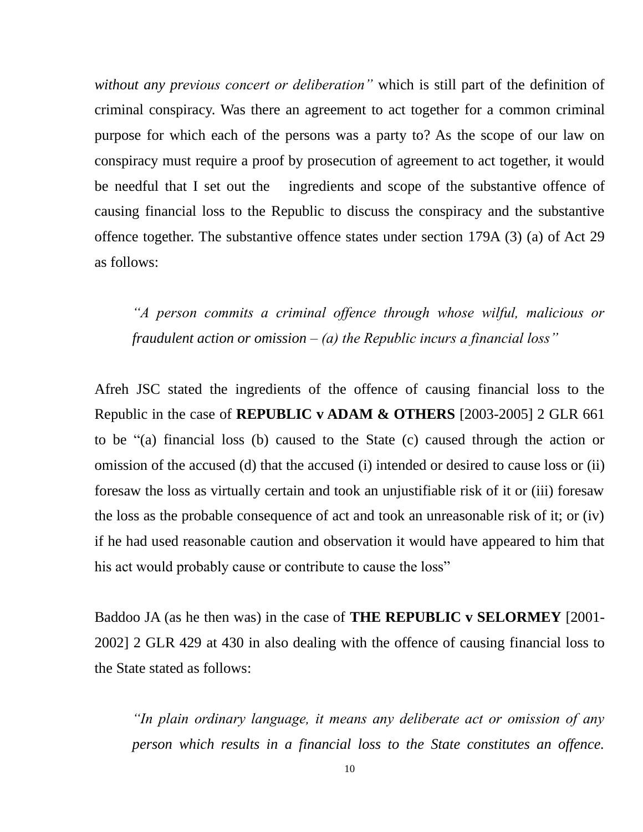*without any previous concert or deliberation"* which is still part of the definition of criminal conspiracy. Was there an agreement to act together for a common criminal purpose for which each of the persons was a party to? As the scope of our law on conspiracy must require a proof by prosecution of agreement to act together, it would be needful that I set out the ingredients and scope of the substantive offence of causing financial loss to the Republic to discuss the conspiracy and the substantive offence together. The substantive offence states under section 179A (3) (a) of Act 29 as follows:

*"A person commits a criminal offence through whose wilful, malicious or fraudulent action or omission – (a) the Republic incurs a financial loss"*

Afreh JSC stated the ingredients of the offence of causing financial loss to the Republic in the case of **REPUBLIC v ADAM & OTHERS** [2003-2005] 2 GLR 661 to be "(a) financial loss (b) caused to the State (c) caused through the action or omission of the accused (d) that the accused (i) intended or desired to cause loss or (ii) foresaw the loss as virtually certain and took an unjustifiable risk of it or (iii) foresaw the loss as the probable consequence of act and took an unreasonable risk of it; or (iv) if he had used reasonable caution and observation it would have appeared to him that his act would probably cause or contribute to cause the loss"

Baddoo JA (as he then was) in the case of **THE REPUBLIC v SELORMEY** [2001- 2002] 2 GLR 429 at 430 in also dealing with the offence of causing financial loss to the State stated as follows:

*"In plain ordinary language, it means any deliberate act or omission of any person which results in a financial loss to the State constitutes an offence.*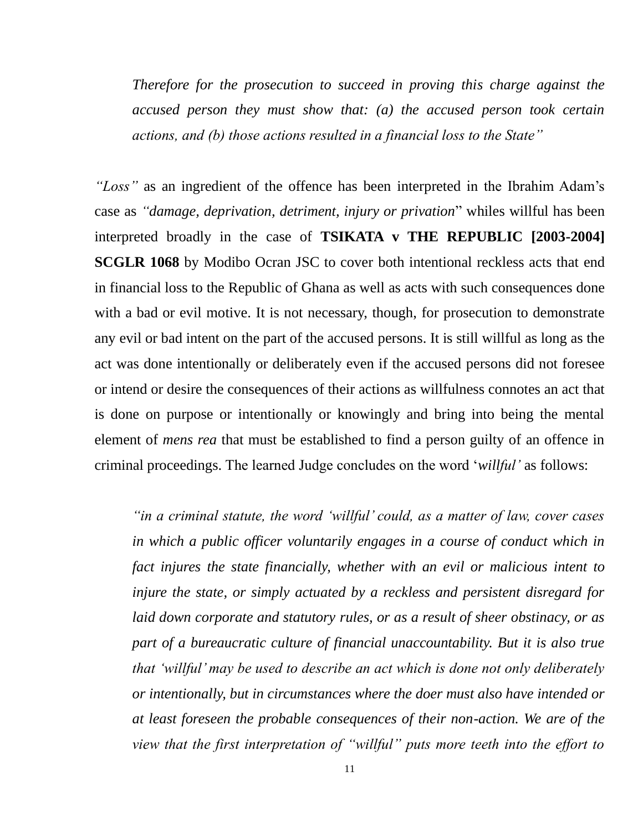*Therefore for the prosecution to succeed in proving this charge against the accused person they must show that: (a) the accused person took certain actions, and (b) those actions resulted in a financial loss to the State"*

*"Loss"* as an ingredient of the offence has been interpreted in the Ibrahim Adam's case as *"damage, deprivation, detriment, injury or privation*" whiles willful has been interpreted broadly in the case of **TSIKATA v THE REPUBLIC [2003-2004] SCGLR 1068** by Modibo Ocran JSC to cover both intentional reckless acts that end in financial loss to the Republic of Ghana as well as acts with such consequences done with a bad or evil motive. It is not necessary, though, for prosecution to demonstrate any evil or bad intent on the part of the accused persons. It is still willful as long as the act was done intentionally or deliberately even if the accused persons did not foresee or intend or desire the consequences of their actions as willfulness connotes an act that is done on purpose or intentionally or knowingly and bring into being the mental element of *mens rea* that must be established to find a person guilty of an offence in criminal proceedings. The learned Judge concludes on the word '*willful'* as follows:

*"in a criminal statute, the word 'willful' could, as a matter of law, cover cases in which a public officer voluntarily engages in a course of conduct which in fact injures the state financially, whether with an evil or malicious intent to injure the state, or simply actuated by a reckless and persistent disregard for laid down corporate and statutory rules, or as a result of sheer obstinacy, or as part of a bureaucratic culture of financial unaccountability. But it is also true that 'willful' may be used to describe an act which is done not only deliberately or intentionally, but in circumstances where the doer must also have intended or at least foreseen the probable consequences of their non-action. We are of the view that the first interpretation of "willful" puts more teeth into the effort to*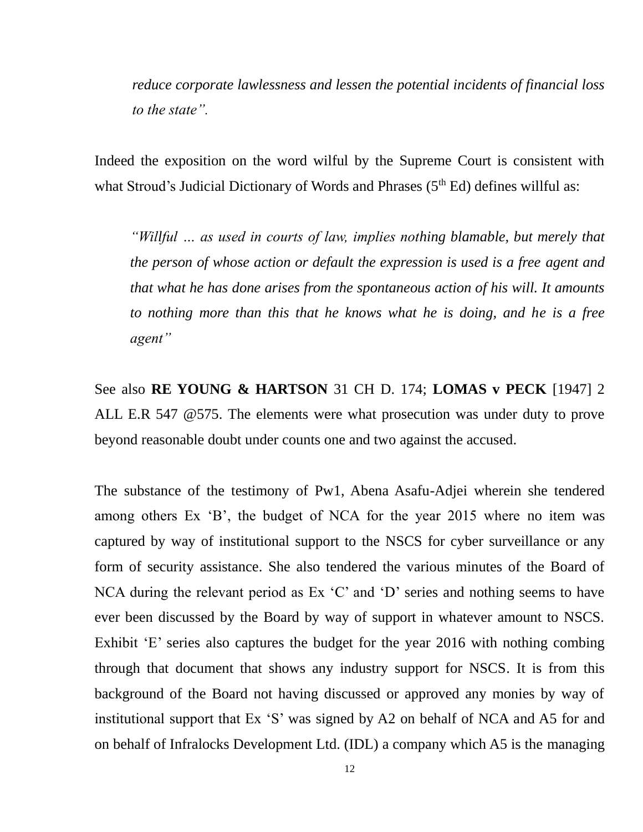*reduce corporate lawlessness and lessen the potential incidents of financial loss to the state".*

Indeed the exposition on the word wilful by the Supreme Court is consistent with what Stroud's Judicial Dictionary of Words and Phrases (5<sup>th</sup> Ed) defines willful as:

*"Willful … as used in courts of law, implies nothing blamable, but merely that the person of whose action or default the expression is used is a free agent and that what he has done arises from the spontaneous action of his will. It amounts to nothing more than this that he knows what he is doing, and he is a free agent"* 

See also **RE YOUNG & HARTSON** 31 CH D. 174; **LOMAS v PECK** [1947] 2 ALL E.R 547 @575. The elements were what prosecution was under duty to prove beyond reasonable doubt under counts one and two against the accused.

The substance of the testimony of Pw1, Abena Asafu-Adjei wherein she tendered among others Ex 'B', the budget of NCA for the year 2015 where no item was captured by way of institutional support to the NSCS for cyber surveillance or any form of security assistance. She also tendered the various minutes of the Board of NCA during the relevant period as Ex 'C' and 'D' series and nothing seems to have ever been discussed by the Board by way of support in whatever amount to NSCS. Exhibit 'E' series also captures the budget for the year 2016 with nothing combing through that document that shows any industry support for NSCS. It is from this background of the Board not having discussed or approved any monies by way of institutional support that Ex 'S' was signed by A2 on behalf of NCA and A5 for and on behalf of Infralocks Development Ltd. (IDL) a company which A5 is the managing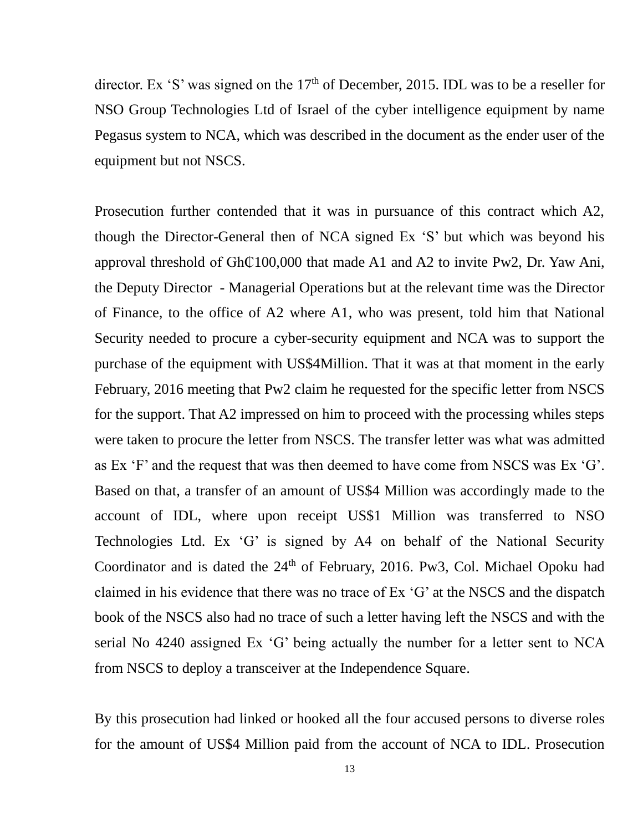director. Ex 'S' was signed on the 17<sup>th</sup> of December, 2015. IDL was to be a reseller for NSO Group Technologies Ltd of Israel of the cyber intelligence equipment by name Pegasus system to NCA, which was described in the document as the ender user of the equipment but not NSCS.

Prosecution further contended that it was in pursuance of this contract which A2, though the Director-General then of NCA signed Ex 'S' but which was beyond his approval threshold of  $GhQ100,000$  that made A1 and A2 to invite Pw2, Dr. Yaw Ani, the Deputy Director - Managerial Operations but at the relevant time was the Director of Finance, to the office of A2 where A1, who was present, told him that National Security needed to procure a cyber-security equipment and NCA was to support the purchase of the equipment with US\$4Million. That it was at that moment in the early February, 2016 meeting that Pw2 claim he requested for the specific letter from NSCS for the support. That A2 impressed on him to proceed with the processing whiles steps were taken to procure the letter from NSCS. The transfer letter was what was admitted as Ex 'F' and the request that was then deemed to have come from NSCS was Ex 'G'. Based on that, a transfer of an amount of US\$4 Million was accordingly made to the account of IDL, where upon receipt US\$1 Million was transferred to NSO Technologies Ltd. Ex 'G' is signed by A4 on behalf of the National Security Coordinator and is dated the 24<sup>th</sup> of February, 2016. Pw3, Col. Michael Opoku had claimed in his evidence that there was no trace of Ex 'G' at the NSCS and the dispatch book of the NSCS also had no trace of such a letter having left the NSCS and with the serial No 4240 assigned Ex 'G' being actually the number for a letter sent to NCA from NSCS to deploy a transceiver at the Independence Square.

By this prosecution had linked or hooked all the four accused persons to diverse roles for the amount of US\$4 Million paid from the account of NCA to IDL. Prosecution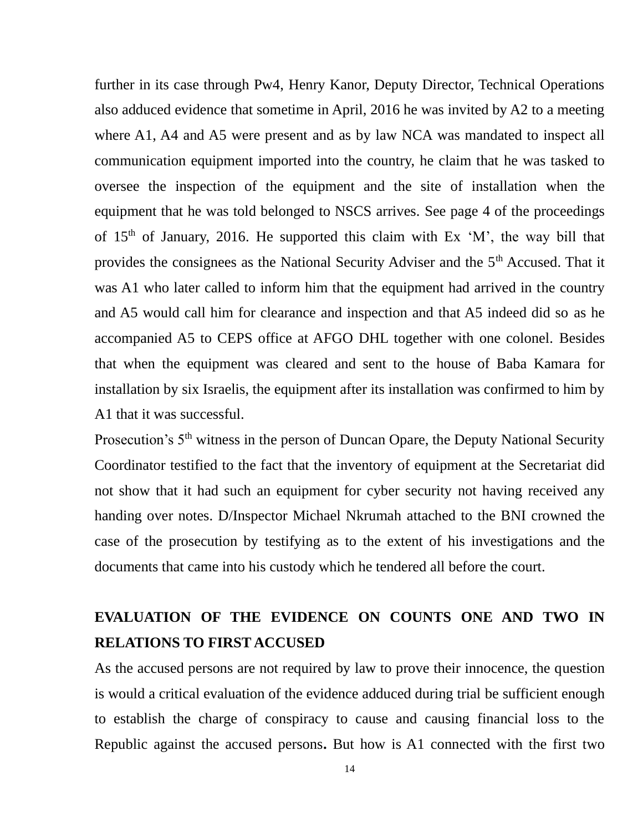further in its case through Pw4, Henry Kanor, Deputy Director, Technical Operations also adduced evidence that sometime in April, 2016 he was invited by A2 to a meeting where A1, A4 and A5 were present and as by law NCA was mandated to inspect all communication equipment imported into the country, he claim that he was tasked to oversee the inspection of the equipment and the site of installation when the equipment that he was told belonged to NSCS arrives. See page 4 of the proceedings of  $15<sup>th</sup>$  of January, 2016. He supported this claim with Ex 'M', the way bill that provides the consignees as the National Security Adviser and the 5<sup>th</sup> Accused. That it was A1 who later called to inform him that the equipment had arrived in the country and A5 would call him for clearance and inspection and that A5 indeed did so as he accompanied A5 to CEPS office at AFGO DHL together with one colonel. Besides that when the equipment was cleared and sent to the house of Baba Kamara for installation by six Israelis, the equipment after its installation was confirmed to him by A1 that it was successful.

Prosecution's 5<sup>th</sup> witness in the person of Duncan Opare, the Deputy National Security Coordinator testified to the fact that the inventory of equipment at the Secretariat did not show that it had such an equipment for cyber security not having received any handing over notes. D/Inspector Michael Nkrumah attached to the BNI crowned the case of the prosecution by testifying as to the extent of his investigations and the documents that came into his custody which he tendered all before the court.

### **EVALUATION OF THE EVIDENCE ON COUNTS ONE AND TWO IN RELATIONS TO FIRST ACCUSED**

As the accused persons are not required by law to prove their innocence, the question is would a critical evaluation of the evidence adduced during trial be sufficient enough to establish the charge of conspiracy to cause and causing financial loss to the Republic against the accused persons**.** But how is A1 connected with the first two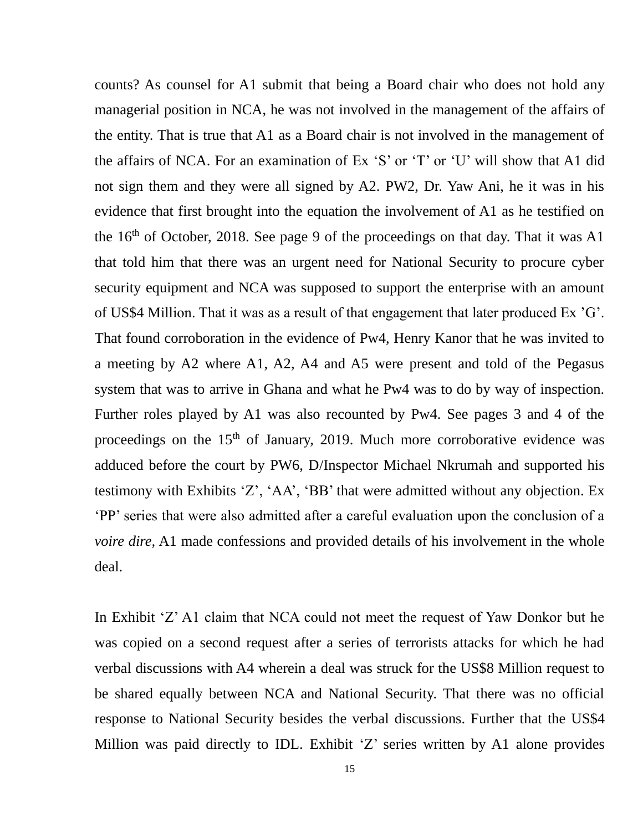counts? As counsel for A1 submit that being a Board chair who does not hold any managerial position in NCA, he was not involved in the management of the affairs of the entity. That is true that A1 as a Board chair is not involved in the management of the affairs of NCA. For an examination of Ex 'S' or 'T' or 'U' will show that A1 did not sign them and they were all signed by A2. PW2, Dr. Yaw Ani, he it was in his evidence that first brought into the equation the involvement of A1 as he testified on the  $16<sup>th</sup>$  of October, 2018. See page 9 of the proceedings on that day. That it was A1 that told him that there was an urgent need for National Security to procure cyber security equipment and NCA was supposed to support the enterprise with an amount of US\$4 Million. That it was as a result of that engagement that later produced Ex 'G'. That found corroboration in the evidence of Pw4, Henry Kanor that he was invited to a meeting by A2 where A1, A2, A4 and A5 were present and told of the Pegasus system that was to arrive in Ghana and what he Pw4 was to do by way of inspection. Further roles played by A1 was also recounted by Pw4. See pages 3 and 4 of the proceedings on the  $15<sup>th</sup>$  of January, 2019. Much more corroborative evidence was adduced before the court by PW6, D/Inspector Michael Nkrumah and supported his testimony with Exhibits 'Z', 'AA', 'BB' that were admitted without any objection. Ex 'PP' series that were also admitted after a careful evaluation upon the conclusion of a *voire dire,* A1 made confessions and provided details of his involvement in the whole deal.

In Exhibit 'Z' A1 claim that NCA could not meet the request of Yaw Donkor but he was copied on a second request after a series of terrorists attacks for which he had verbal discussions with A4 wherein a deal was struck for the US\$8 Million request to be shared equally between NCA and National Security. That there was no official response to National Security besides the verbal discussions. Further that the US\$4 Million was paid directly to IDL. Exhibit 'Z' series written by A1 alone provides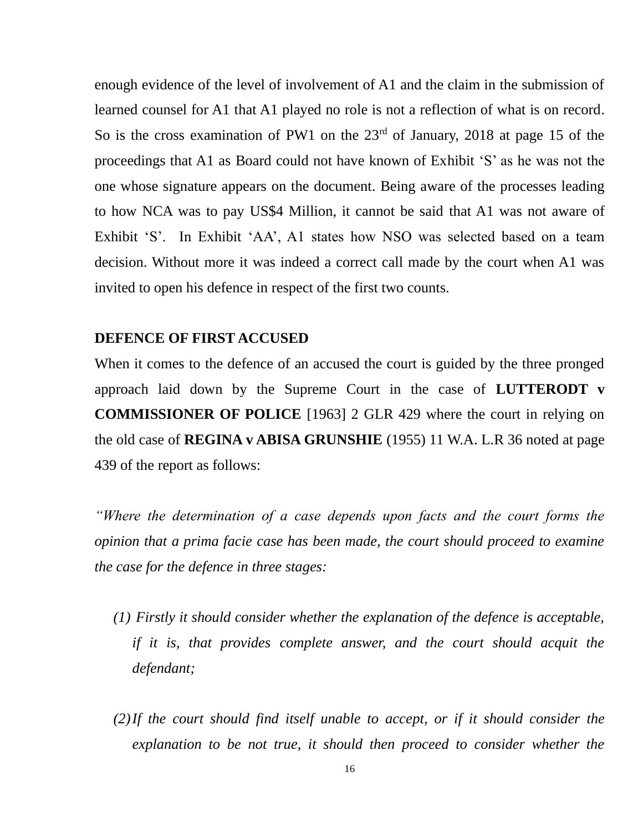enough evidence of the level of involvement of A1 and the claim in the submission of learned counsel for A1 that A1 played no role is not a reflection of what is on record. So is the cross examination of PW1 on the  $23<sup>rd</sup>$  of January, 2018 at page 15 of the proceedings that A1 as Board could not have known of Exhibit 'S' as he was not the one whose signature appears on the document. Being aware of the processes leading to how NCA was to pay US\$4 Million, it cannot be said that A1 was not aware of Exhibit 'S'. In Exhibit 'AA', A1 states how NSO was selected based on a team decision. Without more it was indeed a correct call made by the court when A1 was invited to open his defence in respect of the first two counts.

### **DEFENCE OF FIRST ACCUSED**

When it comes to the defence of an accused the court is guided by the three pronged approach laid down by the Supreme Court in the case of **LUTTERODT v COMMISSIONER OF POLICE** [1963] 2 GLR 429 where the court in relying on the old case of **REGINA v ABISA GRUNSHIE** (1955) 11 W.A. L.R 36 noted at page 439 of the report as follows:

*"Where the determination of a case depends upon facts and the court forms the opinion that a prima facie case has been made, the court should proceed to examine the case for the defence in three stages:* 

- *(1) Firstly it should consider whether the explanation of the defence is acceptable, if it is, that provides complete answer, and the court should acquit the defendant;*
- *(2)If the court should find itself unable to accept, or if it should consider the explanation to be not true, it should then proceed to consider whether the*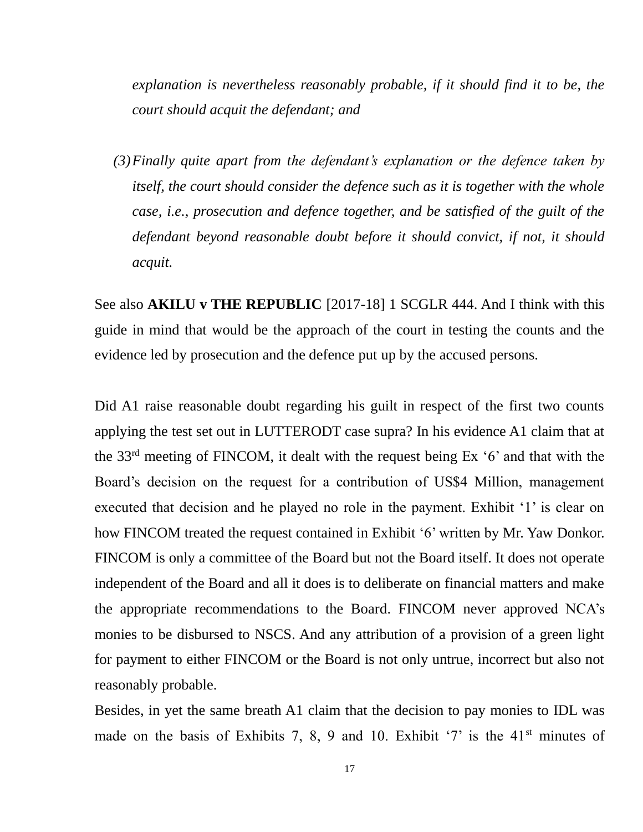*explanation is nevertheless reasonably probable, if it should find it to be, the court should acquit the defendant; and* 

*(3)Finally quite apart from the defendant's explanation or the defence taken by itself, the court should consider the defence such as it is together with the whole case, i.e., prosecution and defence together, and be satisfied of the guilt of the defendant beyond reasonable doubt before it should convict, if not, it should acquit.*

See also **AKILU v THE REPUBLIC** [2017-18] 1 SCGLR 444. And I think with this guide in mind that would be the approach of the court in testing the counts and the evidence led by prosecution and the defence put up by the accused persons.

Did A1 raise reasonable doubt regarding his guilt in respect of the first two counts applying the test set out in LUTTERODT case supra? In his evidence A1 claim that at the 33rd meeting of FINCOM, it dealt with the request being Ex '6' and that with the Board's decision on the request for a contribution of US\$4 Million, management executed that decision and he played no role in the payment. Exhibit '1' is clear on how FINCOM treated the request contained in Exhibit '6' written by Mr. Yaw Donkor. FINCOM is only a committee of the Board but not the Board itself. It does not operate independent of the Board and all it does is to deliberate on financial matters and make the appropriate recommendations to the Board. FINCOM never approved NCA's monies to be disbursed to NSCS. And any attribution of a provision of a green light for payment to either FINCOM or the Board is not only untrue, incorrect but also not reasonably probable.

Besides, in yet the same breath A1 claim that the decision to pay monies to IDL was made on the basis of Exhibits 7, 8, 9 and 10. Exhibit  $\mathcal{I}'$  is the 41<sup>st</sup> minutes of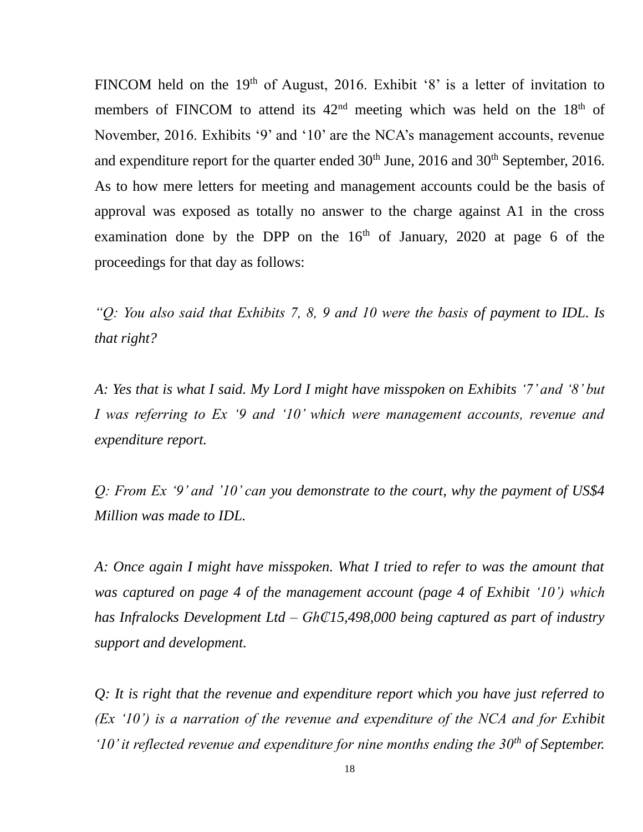FINCOM held on the  $19<sup>th</sup>$  of August, 2016. Exhibit '8' is a letter of invitation to members of FINCOM to attend its  $42<sup>nd</sup>$  meeting which was held on the  $18<sup>th</sup>$  of November, 2016. Exhibits '9' and '10' are the NCA's management accounts, revenue and expenditure report for the quarter ended 30<sup>th</sup> June, 2016 and 30<sup>th</sup> September, 2016. As to how mere letters for meeting and management accounts could be the basis of approval was exposed as totally no answer to the charge against A1 in the cross examination done by the DPP on the  $16<sup>th</sup>$  of January, 2020 at page 6 of the proceedings for that day as follows:

*"Q: You also said that Exhibits 7, 8, 9 and 10 were the basis of payment to IDL. Is that right?*

*A: Yes that is what I said. My Lord I might have misspoken on Exhibits '7' and '8' but I was referring to Ex '9 and '10' which were management accounts, revenue and expenditure report.*

*Q: From Ex '9' and '10' can you demonstrate to the court, why the payment of US\$4 Million was made to IDL.*

*A: Once again I might have misspoken. What I tried to refer to was the amount that was captured on page 4 of the management account (page 4 of Exhibit '10') which has Infralocks Development Ltd – Gh₵15,498,000 being captured as part of industry support and development.*

*Q: It is right that the revenue and expenditure report which you have just referred to (Ex '10') is a narration of the revenue and expenditure of the NCA and for Exhibit '10' it reflected revenue and expenditure for nine months ending the 30th of September.*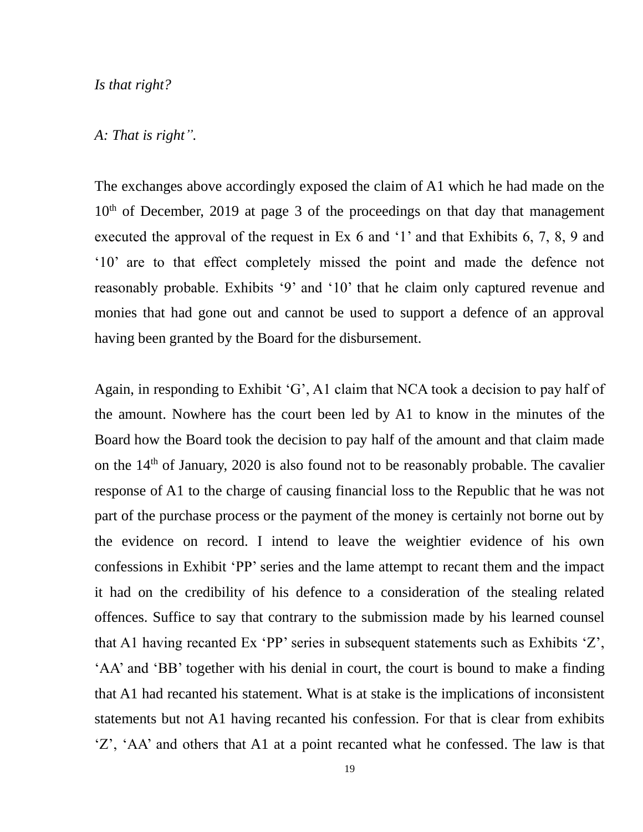#### *Is that right?*

### *A: That is right".*

The exchanges above accordingly exposed the claim of A1 which he had made on the  $10<sup>th</sup>$  of December, 2019 at page 3 of the proceedings on that day that management executed the approval of the request in Ex 6 and '1' and that Exhibits 6, 7, 8, 9 and '10' are to that effect completely missed the point and made the defence not reasonably probable. Exhibits '9' and '10' that he claim only captured revenue and monies that had gone out and cannot be used to support a defence of an approval having been granted by the Board for the disbursement.

Again, in responding to Exhibit 'G', A1 claim that NCA took a decision to pay half of the amount. Nowhere has the court been led by A1 to know in the minutes of the Board how the Board took the decision to pay half of the amount and that claim made on the  $14<sup>th</sup>$  of January, 2020 is also found not to be reasonably probable. The cavalier response of A1 to the charge of causing financial loss to the Republic that he was not part of the purchase process or the payment of the money is certainly not borne out by the evidence on record. I intend to leave the weightier evidence of his own confessions in Exhibit 'PP' series and the lame attempt to recant them and the impact it had on the credibility of his defence to a consideration of the stealing related offences. Suffice to say that contrary to the submission made by his learned counsel that A1 having recanted Ex 'PP' series in subsequent statements such as Exhibits 'Z', 'AA' and 'BB' together with his denial in court, the court is bound to make a finding that A1 had recanted his statement. What is at stake is the implications of inconsistent statements but not A1 having recanted his confession. For that is clear from exhibits 'Z', 'AA' and others that A1 at a point recanted what he confessed. The law is that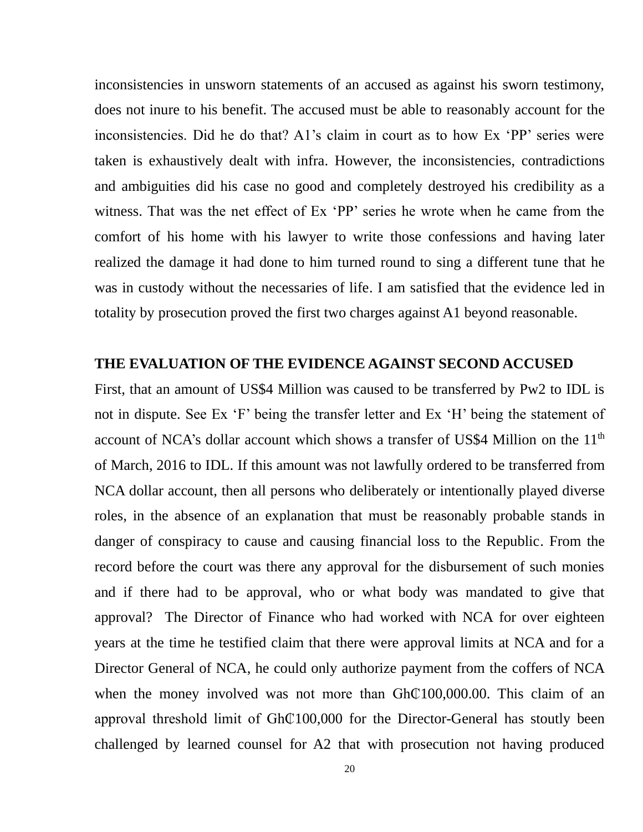inconsistencies in unsworn statements of an accused as against his sworn testimony, does not inure to his benefit. The accused must be able to reasonably account for the inconsistencies. Did he do that? A1's claim in court as to how Ex 'PP' series were taken is exhaustively dealt with infra. However, the inconsistencies, contradictions and ambiguities did his case no good and completely destroyed his credibility as a witness. That was the net effect of Ex 'PP' series he wrote when he came from the comfort of his home with his lawyer to write those confessions and having later realized the damage it had done to him turned round to sing a different tune that he was in custody without the necessaries of life. I am satisfied that the evidence led in totality by prosecution proved the first two charges against A1 beyond reasonable.

### **THE EVALUATION OF THE EVIDENCE AGAINST SECOND ACCUSED**

First, that an amount of US\$4 Million was caused to be transferred by Pw2 to IDL is not in dispute. See Ex 'F' being the transfer letter and Ex 'H' being the statement of account of NCA's dollar account which shows a transfer of US\$4 Million on the  $11<sup>th</sup>$ of March, 2016 to IDL. If this amount was not lawfully ordered to be transferred from NCA dollar account, then all persons who deliberately or intentionally played diverse roles, in the absence of an explanation that must be reasonably probable stands in danger of conspiracy to cause and causing financial loss to the Republic. From the record before the court was there any approval for the disbursement of such monies and if there had to be approval, who or what body was mandated to give that approval? The Director of Finance who had worked with NCA for over eighteen years at the time he testified claim that there were approval limits at NCA and for a Director General of NCA, he could only authorize payment from the coffers of NCA when the money involved was not more than Gh $\textcircled{100,000.00}$ . This claim of an approval threshold limit of Gh $\textcircled{100,000}$  for the Director-General has stoutly been challenged by learned counsel for A2 that with prosecution not having produced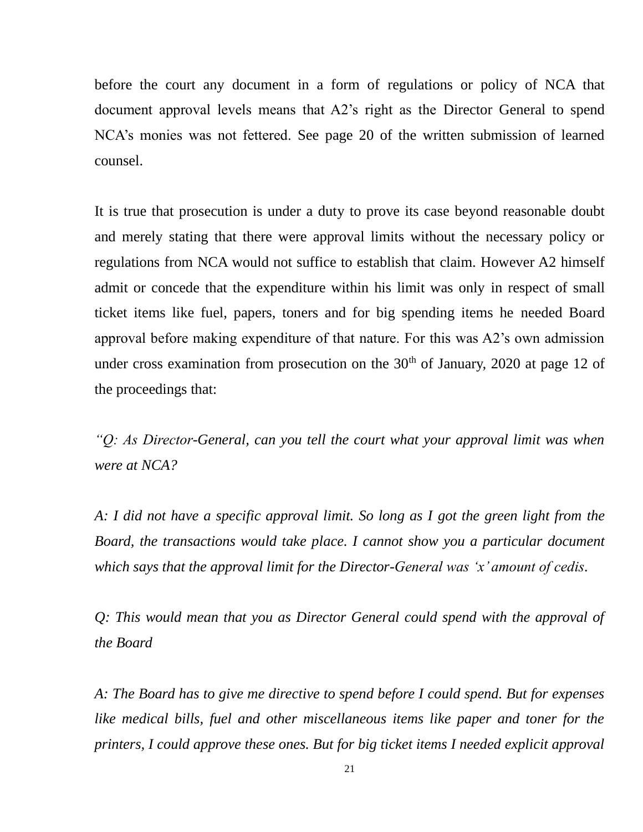before the court any document in a form of regulations or policy of NCA that document approval levels means that A2's right as the Director General to spend NCA's monies was not fettered. See page 20 of the written submission of learned counsel.

It is true that prosecution is under a duty to prove its case beyond reasonable doubt and merely stating that there were approval limits without the necessary policy or regulations from NCA would not suffice to establish that claim. However A2 himself admit or concede that the expenditure within his limit was only in respect of small ticket items like fuel, papers, toners and for big spending items he needed Board approval before making expenditure of that nature. For this was A2's own admission under cross examination from prosecution on the  $30<sup>th</sup>$  of January, 2020 at page 12 of the proceedings that:

*"Q: As Director-General, can you tell the court what your approval limit was when were at NCA?*

*A: I did not have a specific approval limit. So long as I got the green light from the Board, the transactions would take place. I cannot show you a particular document which says that the approval limit for the Director-General was 'x' amount of cedis.*

*Q: This would mean that you as Director General could spend with the approval of the Board*

*A: The Board has to give me directive to spend before I could spend. But for expenses like medical bills, fuel and other miscellaneous items like paper and toner for the printers, I could approve these ones. But for big ticket items I needed explicit approval*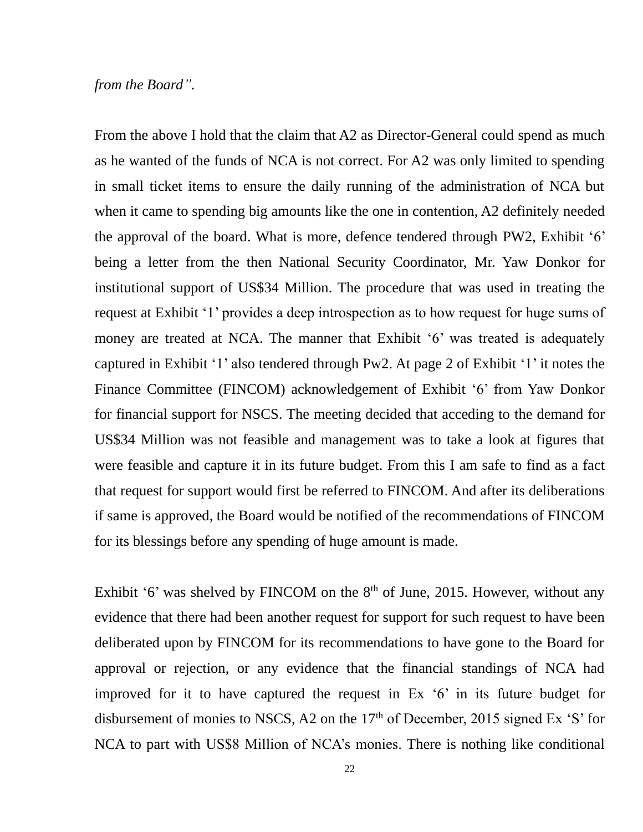#### *from the Board".*

From the above I hold that the claim that A2 as Director-General could spend as much as he wanted of the funds of NCA is not correct. For A2 was only limited to spending in small ticket items to ensure the daily running of the administration of NCA but when it came to spending big amounts like the one in contention, A2 definitely needed the approval of the board. What is more, defence tendered through PW2, Exhibit '6' being a letter from the then National Security Coordinator, Mr. Yaw Donkor for institutional support of US\$34 Million. The procedure that was used in treating the request at Exhibit '1' provides a deep introspection as to how request for huge sums of money are treated at NCA. The manner that Exhibit '6' was treated is adequately captured in Exhibit '1' also tendered through Pw2. At page 2 of Exhibit '1' it notes the Finance Committee (FINCOM) acknowledgement of Exhibit '6' from Yaw Donkor for financial support for NSCS. The meeting decided that acceding to the demand for US\$34 Million was not feasible and management was to take a look at figures that were feasible and capture it in its future budget. From this I am safe to find as a fact that request for support would first be referred to FINCOM. And after its deliberations if same is approved, the Board would be notified of the recommendations of FINCOM for its blessings before any spending of huge amount is made.

Exhibit '6' was shelved by FINCOM on the  $8<sup>th</sup>$  of June, 2015. However, without any evidence that there had been another request for support for such request to have been deliberated upon by FINCOM for its recommendations to have gone to the Board for approval or rejection, or any evidence that the financial standings of NCA had improved for it to have captured the request in Ex '6' in its future budget for disbursement of monies to NSCS, A2 on the  $17<sup>th</sup>$  of December, 2015 signed Ex 'S' for NCA to part with US\$8 Million of NCA's monies. There is nothing like conditional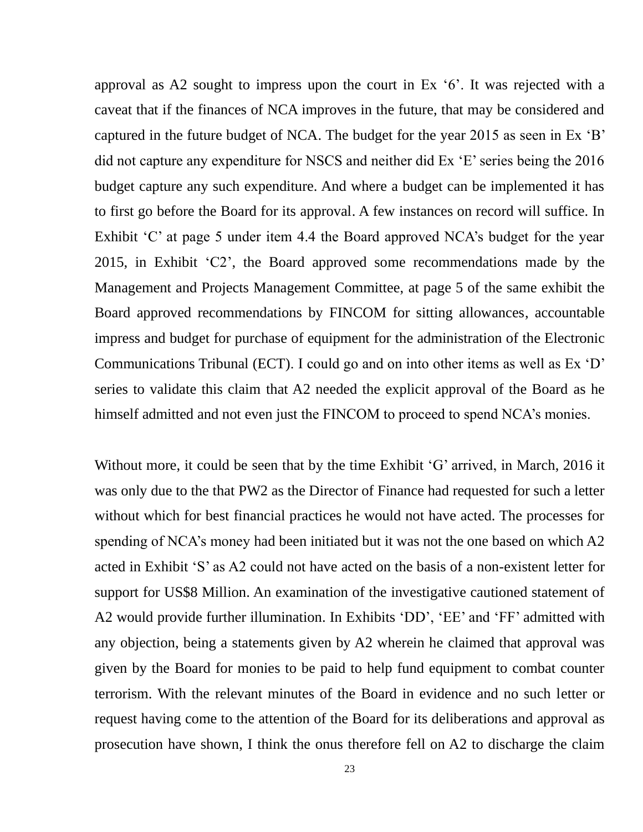approval as A2 sought to impress upon the court in Ex '6'. It was rejected with a caveat that if the finances of NCA improves in the future, that may be considered and captured in the future budget of NCA. The budget for the year 2015 as seen in Ex 'B' did not capture any expenditure for NSCS and neither did Ex 'E' series being the 2016 budget capture any such expenditure. And where a budget can be implemented it has to first go before the Board for its approval. A few instances on record will suffice. In Exhibit 'C' at page 5 under item 4.4 the Board approved NCA's budget for the year 2015, in Exhibit 'C2', the Board approved some recommendations made by the Management and Projects Management Committee, at page 5 of the same exhibit the Board approved recommendations by FINCOM for sitting allowances, accountable impress and budget for purchase of equipment for the administration of the Electronic Communications Tribunal (ECT). I could go and on into other items as well as Ex 'D' series to validate this claim that A2 needed the explicit approval of the Board as he himself admitted and not even just the FINCOM to proceed to spend NCA's monies.

Without more, it could be seen that by the time Exhibit 'G' arrived, in March, 2016 it was only due to the that PW2 as the Director of Finance had requested for such a letter without which for best financial practices he would not have acted. The processes for spending of NCA's money had been initiated but it was not the one based on which A2 acted in Exhibit 'S' as A2 could not have acted on the basis of a non-existent letter for support for US\$8 Million. An examination of the investigative cautioned statement of A2 would provide further illumination. In Exhibits 'DD', 'EE' and 'FF' admitted with any objection, being a statements given by A2 wherein he claimed that approval was given by the Board for monies to be paid to help fund equipment to combat counter terrorism. With the relevant minutes of the Board in evidence and no such letter or request having come to the attention of the Board for its deliberations and approval as prosecution have shown, I think the onus therefore fell on A2 to discharge the claim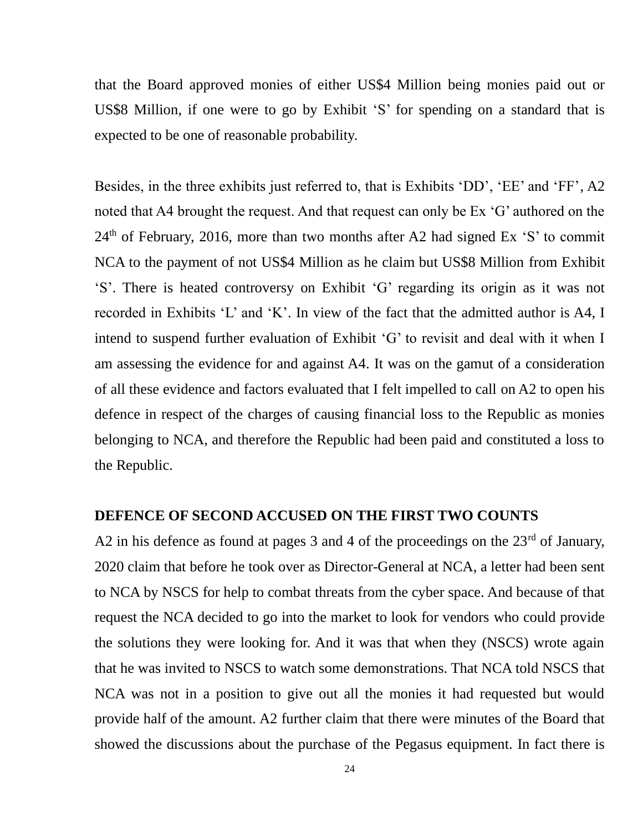that the Board approved monies of either US\$4 Million being monies paid out or US\$8 Million, if one were to go by Exhibit 'S' for spending on a standard that is expected to be one of reasonable probability.

Besides, in the three exhibits just referred to, that is Exhibits 'DD', 'EE' and 'FF', A2 noted that A4 brought the request. And that request can only be Ex 'G' authored on the  $24<sup>th</sup>$  of February, 2016, more than two months after A2 had signed Ex 'S' to commit NCA to the payment of not US\$4 Million as he claim but US\$8 Million from Exhibit 'S'. There is heated controversy on Exhibit 'G' regarding its origin as it was not recorded in Exhibits 'L' and 'K'. In view of the fact that the admitted author is A4, I intend to suspend further evaluation of Exhibit 'G' to revisit and deal with it when I am assessing the evidence for and against A4. It was on the gamut of a consideration of all these evidence and factors evaluated that I felt impelled to call on A2 to open his defence in respect of the charges of causing financial loss to the Republic as monies belonging to NCA, and therefore the Republic had been paid and constituted a loss to the Republic.

### **DEFENCE OF SECOND ACCUSED ON THE FIRST TWO COUNTS**

A2 in his defence as found at pages 3 and 4 of the proceedings on the  $23<sup>rd</sup>$  of January, 2020 claim that before he took over as Director-General at NCA, a letter had been sent to NCA by NSCS for help to combat threats from the cyber space. And because of that request the NCA decided to go into the market to look for vendors who could provide the solutions they were looking for. And it was that when they (NSCS) wrote again that he was invited to NSCS to watch some demonstrations. That NCA told NSCS that NCA was not in a position to give out all the monies it had requested but would provide half of the amount. A2 further claim that there were minutes of the Board that showed the discussions about the purchase of the Pegasus equipment. In fact there is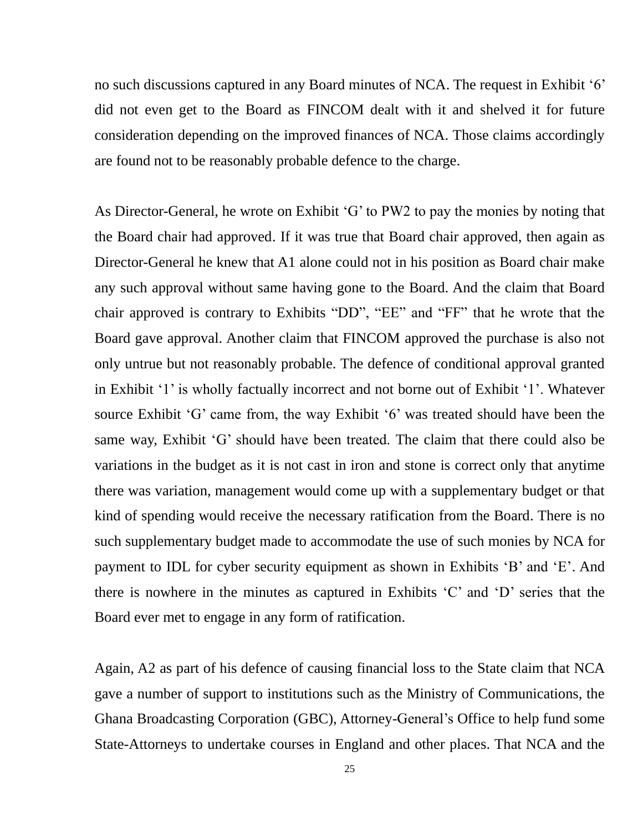no such discussions captured in any Board minutes of NCA. The request in Exhibit '6' did not even get to the Board as FINCOM dealt with it and shelved it for future consideration depending on the improved finances of NCA. Those claims accordingly are found not to be reasonably probable defence to the charge.

As Director-General, he wrote on Exhibit 'G' to PW2 to pay the monies by noting that the Board chair had approved. If it was true that Board chair approved, then again as Director-General he knew that A1 alone could not in his position as Board chair make any such approval without same having gone to the Board. And the claim that Board chair approved is contrary to Exhibits "DD", "EE" and "FF" that he wrote that the Board gave approval. Another claim that FINCOM approved the purchase is also not only untrue but not reasonably probable. The defence of conditional approval granted in Exhibit '1' is wholly factually incorrect and not borne out of Exhibit '1'. Whatever source Exhibit 'G' came from, the way Exhibit '6' was treated should have been the same way, Exhibit 'G' should have been treated. The claim that there could also be variations in the budget as it is not cast in iron and stone is correct only that anytime there was variation, management would come up with a supplementary budget or that kind of spending would receive the necessary ratification from the Board. There is no such supplementary budget made to accommodate the use of such monies by NCA for payment to IDL for cyber security equipment as shown in Exhibits 'B' and 'E'. And there is nowhere in the minutes as captured in Exhibits 'C' and 'D' series that the Board ever met to engage in any form of ratification.

Again, A2 as part of his defence of causing financial loss to the State claim that NCA gave a number of support to institutions such as the Ministry of Communications, the Ghana Broadcasting Corporation (GBC), Attorney-General's Office to help fund some State-Attorneys to undertake courses in England and other places. That NCA and the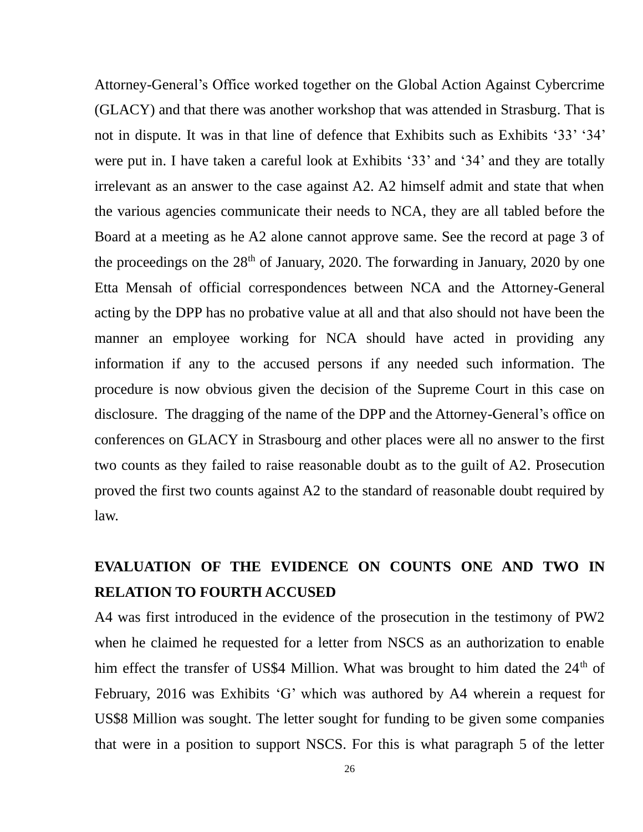Attorney-General's Office worked together on the Global Action Against Cybercrime (GLACY) and that there was another workshop that was attended in Strasburg. That is not in dispute. It was in that line of defence that Exhibits such as Exhibits '33' '34' were put in. I have taken a careful look at Exhibits '33' and '34' and they are totally irrelevant as an answer to the case against A2. A2 himself admit and state that when the various agencies communicate their needs to NCA, they are all tabled before the Board at a meeting as he A2 alone cannot approve same. See the record at page 3 of the proceedings on the  $28<sup>th</sup>$  of January, 2020. The forwarding in January, 2020 by one Etta Mensah of official correspondences between NCA and the Attorney-General acting by the DPP has no probative value at all and that also should not have been the manner an employee working for NCA should have acted in providing any information if any to the accused persons if any needed such information. The procedure is now obvious given the decision of the Supreme Court in this case on disclosure. The dragging of the name of the DPP and the Attorney-General's office on conferences on GLACY in Strasbourg and other places were all no answer to the first two counts as they failed to raise reasonable doubt as to the guilt of A2. Prosecution proved the first two counts against A2 to the standard of reasonable doubt required by law.

### **EVALUATION OF THE EVIDENCE ON COUNTS ONE AND TWO IN RELATION TO FOURTH ACCUSED**

A4 was first introduced in the evidence of the prosecution in the testimony of PW2 when he claimed he requested for a letter from NSCS as an authorization to enable him effect the transfer of US\$4 Million. What was brought to him dated the 24<sup>th</sup> of February, 2016 was Exhibits 'G' which was authored by A4 wherein a request for US\$8 Million was sought. The letter sought for funding to be given some companies that were in a position to support NSCS. For this is what paragraph 5 of the letter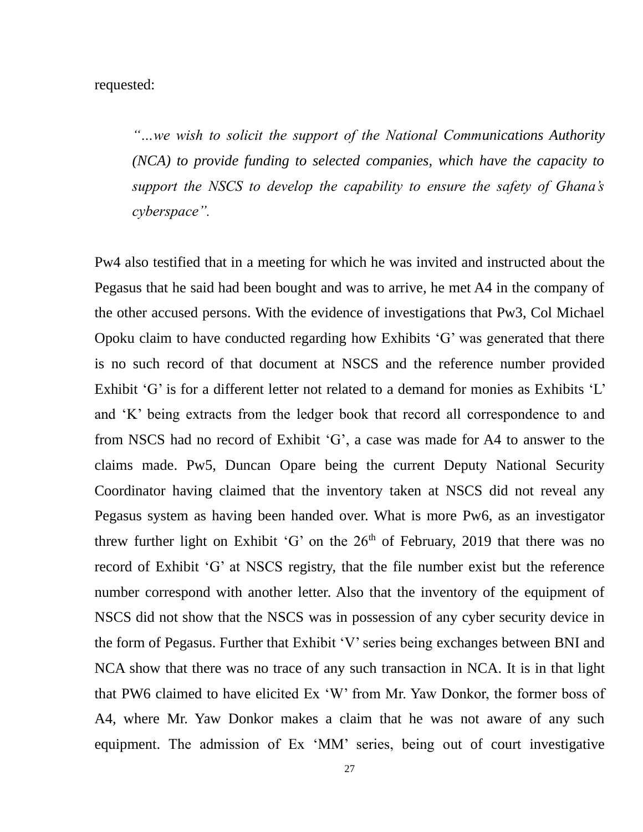requested:

*"…we wish to solicit the support of the National Communications Authority (NCA) to provide funding to selected companies, which have the capacity to support the NSCS to develop the capability to ensure the safety of Ghana's cyberspace".*

Pw4 also testified that in a meeting for which he was invited and instructed about the Pegasus that he said had been bought and was to arrive, he met A4 in the company of the other accused persons. With the evidence of investigations that Pw3, Col Michael Opoku claim to have conducted regarding how Exhibits 'G' was generated that there is no such record of that document at NSCS and the reference number provided Exhibit 'G' is for a different letter not related to a demand for monies as Exhibits 'L' and 'K' being extracts from the ledger book that record all correspondence to and from NSCS had no record of Exhibit 'G', a case was made for A4 to answer to the claims made. Pw5, Duncan Opare being the current Deputy National Security Coordinator having claimed that the inventory taken at NSCS did not reveal any Pegasus system as having been handed over. What is more Pw6, as an investigator threw further light on Exhibit 'G' on the  $26<sup>th</sup>$  of February, 2019 that there was no record of Exhibit 'G' at NSCS registry, that the file number exist but the reference number correspond with another letter. Also that the inventory of the equipment of NSCS did not show that the NSCS was in possession of any cyber security device in the form of Pegasus. Further that Exhibit 'V' series being exchanges between BNI and NCA show that there was no trace of any such transaction in NCA. It is in that light that PW6 claimed to have elicited Ex 'W' from Mr. Yaw Donkor, the former boss of A4, where Mr. Yaw Donkor makes a claim that he was not aware of any such equipment. The admission of Ex 'MM' series, being out of court investigative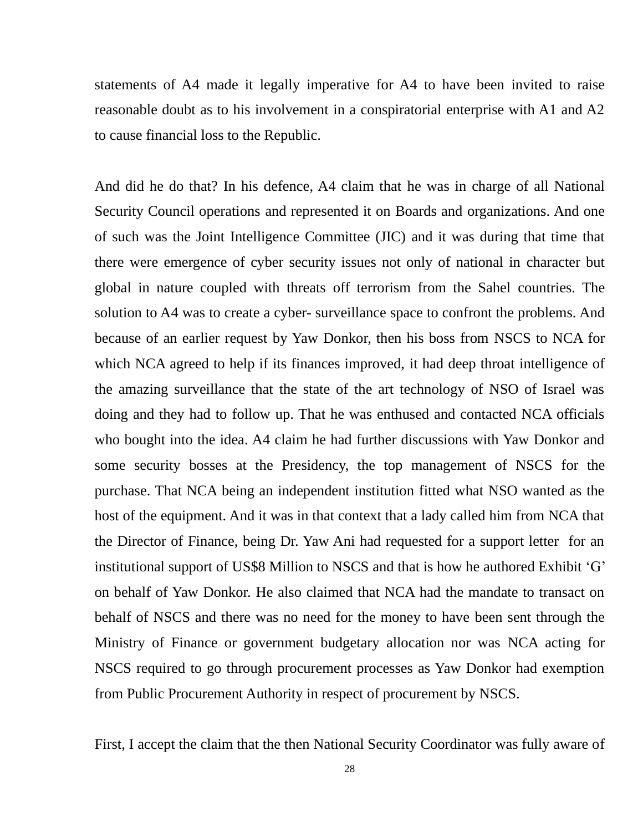statements of A4 made it legally imperative for A4 to have been invited to raise reasonable doubt as to his involvement in a conspiratorial enterprise with A1 and A2 to cause financial loss to the Republic.

And did he do that? In his defence, A4 claim that he was in charge of all National Security Council operations and represented it on Boards and organizations. And one of such was the Joint Intelligence Committee (JIC) and it was during that time that there were emergence of cyber security issues not only of national in character but global in nature coupled with threats off terrorism from the Sahel countries. The solution to A4 was to create a cyber- surveillance space to confront the problems. And because of an earlier request by Yaw Donkor, then his boss from NSCS to NCA for which NCA agreed to help if its finances improved, it had deep throat intelligence of the amazing surveillance that the state of the art technology of NSO of Israel was doing and they had to follow up. That he was enthused and contacted NCA officials who bought into the idea. A4 claim he had further discussions with Yaw Donkor and some security bosses at the Presidency, the top management of NSCS for the purchase. That NCA being an independent institution fitted what NSO wanted as the host of the equipment. And it was in that context that a lady called him from NCA that the Director of Finance, being Dr. Yaw Ani had requested for a support letter for an institutional support of US\$8 Million to NSCS and that is how he authored Exhibit 'G' on behalf of Yaw Donkor. He also claimed that NCA had the mandate to transact on behalf of NSCS and there was no need for the money to have been sent through the Ministry of Finance or government budgetary allocation nor was NCA acting for NSCS required to go through procurement processes as Yaw Donkor had exemption from Public Procurement Authority in respect of procurement by NSCS.

First, I accept the claim that the then National Security Coordinator was fully aware of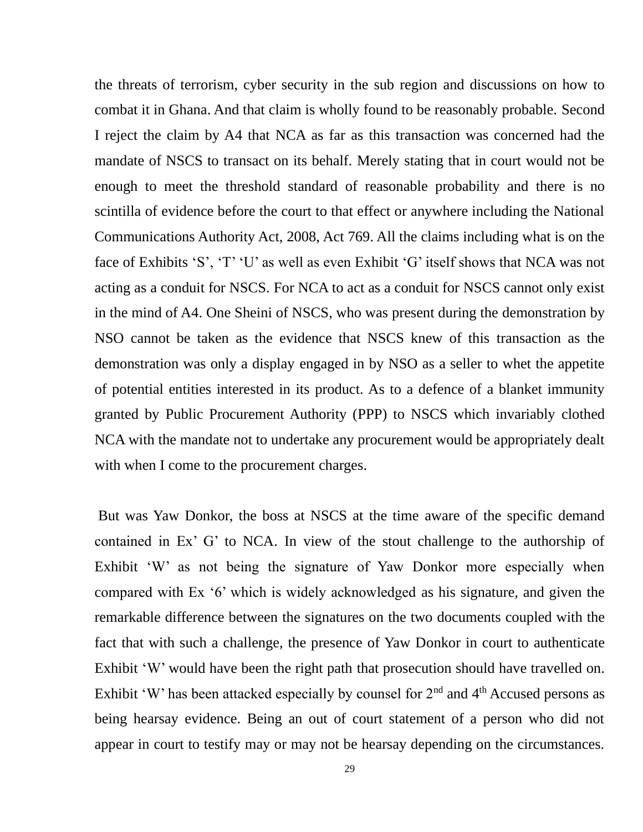the threats of terrorism, cyber security in the sub region and discussions on how to combat it in Ghana. And that claim is wholly found to be reasonably probable. Second I reject the claim by A4 that NCA as far as this transaction was concerned had the mandate of NSCS to transact on its behalf. Merely stating that in court would not be enough to meet the threshold standard of reasonable probability and there is no scintilla of evidence before the court to that effect or anywhere including the National Communications Authority Act, 2008, Act 769. All the claims including what is on the face of Exhibits 'S', 'T' 'U' as well as even Exhibit 'G' itself shows that NCA was not acting as a conduit for NSCS. For NCA to act as a conduit for NSCS cannot only exist in the mind of A4. One Sheini of NSCS, who was present during the demonstration by NSO cannot be taken as the evidence that NSCS knew of this transaction as the demonstration was only a display engaged in by NSO as a seller to whet the appetite of potential entities interested in its product. As to a defence of a blanket immunity granted by Public Procurement Authority (PPP) to NSCS which invariably clothed NCA with the mandate not to undertake any procurement would be appropriately dealt with when I come to the procurement charges.

But was Yaw Donkor, the boss at NSCS at the time aware of the specific demand contained in Ex' G' to NCA. In view of the stout challenge to the authorship of Exhibit 'W' as not being the signature of Yaw Donkor more especially when compared with Ex '6' which is widely acknowledged as his signature, and given the remarkable difference between the signatures on the two documents coupled with the fact that with such a challenge, the presence of Yaw Donkor in court to authenticate Exhibit 'W' would have been the right path that prosecution should have travelled on. Exhibit 'W' has been attacked especially by counsel for  $2<sup>nd</sup>$  and  $4<sup>th</sup>$  Accused persons as being hearsay evidence. Being an out of court statement of a person who did not appear in court to testify may or may not be hearsay depending on the circumstances.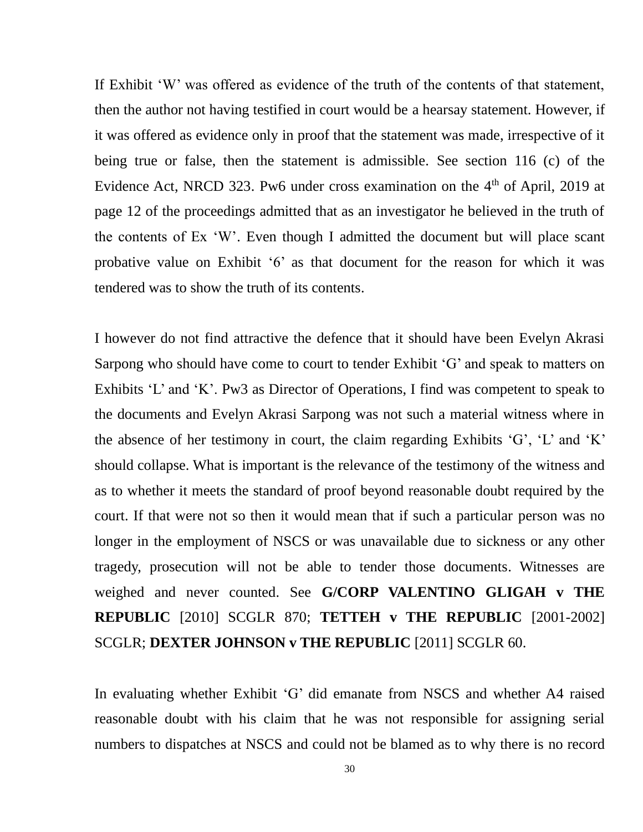If Exhibit 'W' was offered as evidence of the truth of the contents of that statement, then the author not having testified in court would be a hearsay statement. However, if it was offered as evidence only in proof that the statement was made, irrespective of it being true or false, then the statement is admissible. See section 116 (c) of the Evidence Act, NRCD 323. Pw6 under cross examination on the  $4<sup>th</sup>$  of April, 2019 at page 12 of the proceedings admitted that as an investigator he believed in the truth of the contents of Ex 'W'. Even though I admitted the document but will place scant probative value on Exhibit '6' as that document for the reason for which it was tendered was to show the truth of its contents.

I however do not find attractive the defence that it should have been Evelyn Akrasi Sarpong who should have come to court to tender Exhibit 'G' and speak to matters on Exhibits 'L' and 'K'. Pw3 as Director of Operations, I find was competent to speak to the documents and Evelyn Akrasi Sarpong was not such a material witness where in the absence of her testimony in court, the claim regarding Exhibits 'G', 'L' and 'K' should collapse. What is important is the relevance of the testimony of the witness and as to whether it meets the standard of proof beyond reasonable doubt required by the court. If that were not so then it would mean that if such a particular person was no longer in the employment of NSCS or was unavailable due to sickness or any other tragedy, prosecution will not be able to tender those documents. Witnesses are weighed and never counted. See **G/CORP VALENTINO GLIGAH v THE REPUBLIC** [2010] SCGLR 870; **TETTEH v THE REPUBLIC** [2001-2002] SCGLR; **DEXTER JOHNSON v THE REPUBLIC** [2011] SCGLR 60.

In evaluating whether Exhibit 'G' did emanate from NSCS and whether A4 raised reasonable doubt with his claim that he was not responsible for assigning serial numbers to dispatches at NSCS and could not be blamed as to why there is no record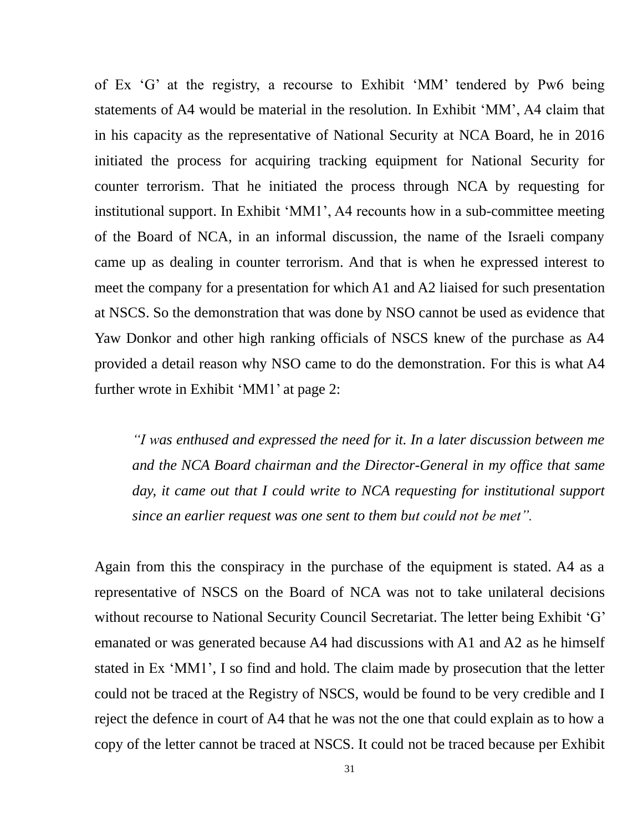of Ex 'G' at the registry, a recourse to Exhibit 'MM' tendered by Pw6 being statements of A4 would be material in the resolution. In Exhibit 'MM', A4 claim that in his capacity as the representative of National Security at NCA Board, he in 2016 initiated the process for acquiring tracking equipment for National Security for counter terrorism. That he initiated the process through NCA by requesting for institutional support. In Exhibit 'MM1', A4 recounts how in a sub-committee meeting of the Board of NCA, in an informal discussion, the name of the Israeli company came up as dealing in counter terrorism. And that is when he expressed interest to meet the company for a presentation for which A1 and A2 liaised for such presentation at NSCS. So the demonstration that was done by NSO cannot be used as evidence that Yaw Donkor and other high ranking officials of NSCS knew of the purchase as A4 provided a detail reason why NSO came to do the demonstration. For this is what A4 further wrote in Exhibit 'MM1' at page 2:

*"I was enthused and expressed the need for it. In a later discussion between me and the NCA Board chairman and the Director-General in my office that same day, it came out that I could write to NCA requesting for institutional support since an earlier request was one sent to them but could not be met".*

Again from this the conspiracy in the purchase of the equipment is stated. A4 as a representative of NSCS on the Board of NCA was not to take unilateral decisions without recourse to National Security Council Secretariat. The letter being Exhibit 'G' emanated or was generated because A4 had discussions with A1 and A2 as he himself stated in Ex 'MM1', I so find and hold. The claim made by prosecution that the letter could not be traced at the Registry of NSCS, would be found to be very credible and I reject the defence in court of A4 that he was not the one that could explain as to how a copy of the letter cannot be traced at NSCS. It could not be traced because per Exhibit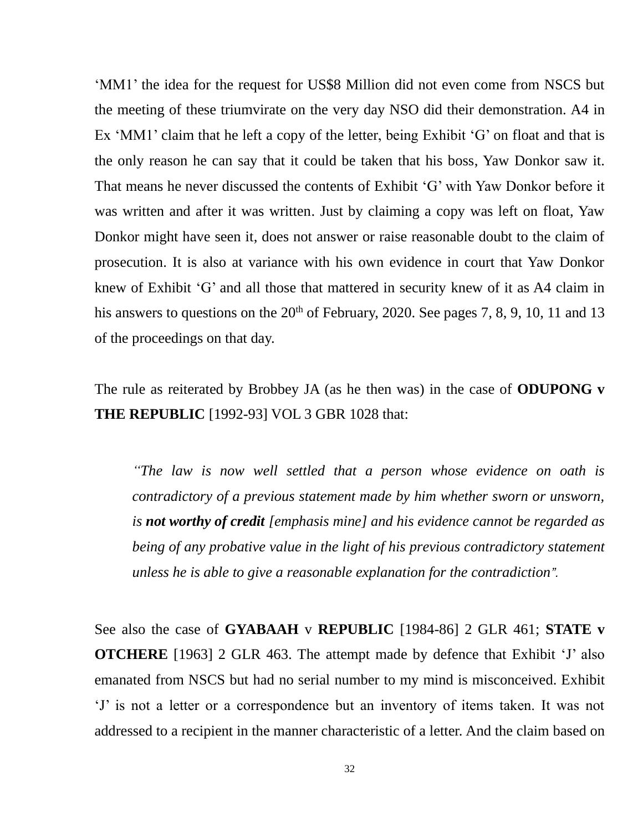'MM1' the idea for the request for US\$8 Million did not even come from NSCS but the meeting of these triumvirate on the very day NSO did their demonstration. A4 in Ex 'MM1' claim that he left a copy of the letter, being Exhibit 'G' on float and that is the only reason he can say that it could be taken that his boss, Yaw Donkor saw it. That means he never discussed the contents of Exhibit 'G' with Yaw Donkor before it was written and after it was written. Just by claiming a copy was left on float, Yaw Donkor might have seen it, does not answer or raise reasonable doubt to the claim of prosecution. It is also at variance with his own evidence in court that Yaw Donkor knew of Exhibit 'G' and all those that mattered in security knew of it as A4 claim in his answers to questions on the  $20<sup>th</sup>$  of February, 2020. See pages 7, 8, 9, 10, 11 and 13 of the proceedings on that day.

The rule as reiterated by Brobbey JA (as he then was) in the case of **ODUPONG v THE REPUBLIC** [1992-93] VOL 3 GBR 1028 that:

*"The law is now well settled that a person whose evidence on oath is contradictory of a previous statement made by him whether sworn or unsworn, is not worthy of credit [emphasis mine] and his evidence cannot be regarded as being of any probative value in the light of his previous contradictory statement unless he is able to give a reasonable explanation for the contradiction".*

See also the case of **GYABAAH** v **REPUBLIC** [1984-86] 2 GLR 461; **STATE v OTCHERE** [1963] 2 GLR 463. The attempt made by defence that Exhibit 'J' also emanated from NSCS but had no serial number to my mind is misconceived. Exhibit 'J' is not a letter or a correspondence but an inventory of items taken. It was not addressed to a recipient in the manner characteristic of a letter. And the claim based on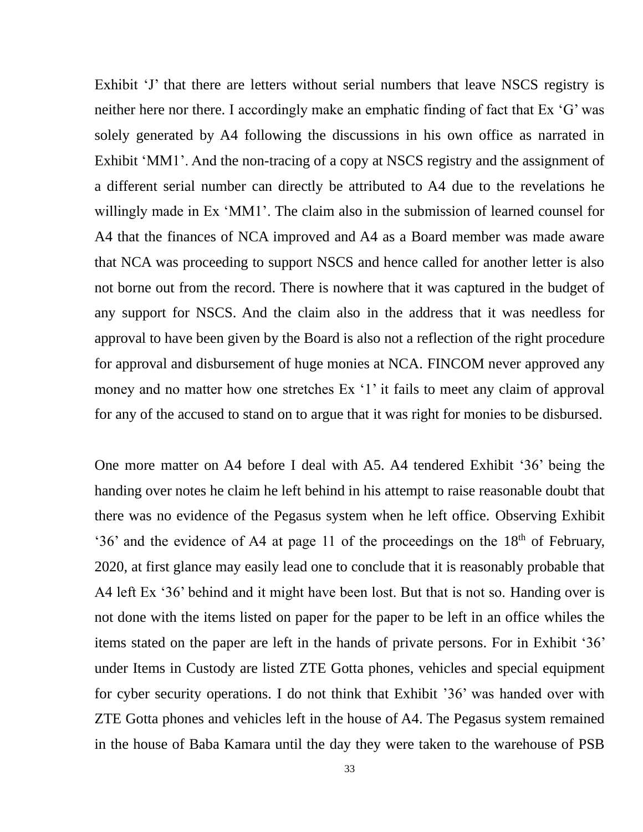Exhibit 'J' that there are letters without serial numbers that leave NSCS registry is neither here nor there. I accordingly make an emphatic finding of fact that Ex 'G' was solely generated by A4 following the discussions in his own office as narrated in Exhibit 'MM1'. And the non-tracing of a copy at NSCS registry and the assignment of a different serial number can directly be attributed to A4 due to the revelations he willingly made in Ex 'MM1'. The claim also in the submission of learned counsel for A4 that the finances of NCA improved and A4 as a Board member was made aware that NCA was proceeding to support NSCS and hence called for another letter is also not borne out from the record. There is nowhere that it was captured in the budget of any support for NSCS. And the claim also in the address that it was needless for approval to have been given by the Board is also not a reflection of the right procedure for approval and disbursement of huge monies at NCA. FINCOM never approved any money and no matter how one stretches Ex '1' it fails to meet any claim of approval for any of the accused to stand on to argue that it was right for monies to be disbursed.

One more matter on A4 before I deal with A5. A4 tendered Exhibit '36' being the handing over notes he claim he left behind in his attempt to raise reasonable doubt that there was no evidence of the Pegasus system when he left office. Observing Exhibit '36' and the evidence of A4 at page 11 of the proceedings on the  $18<sup>th</sup>$  of February, 2020, at first glance may easily lead one to conclude that it is reasonably probable that A4 left Ex '36' behind and it might have been lost. But that is not so. Handing over is not done with the items listed on paper for the paper to be left in an office whiles the items stated on the paper are left in the hands of private persons. For in Exhibit '36' under Items in Custody are listed ZTE Gotta phones, vehicles and special equipment for cyber security operations. I do not think that Exhibit '36' was handed over with ZTE Gotta phones and vehicles left in the house of A4. The Pegasus system remained in the house of Baba Kamara until the day they were taken to the warehouse of PSB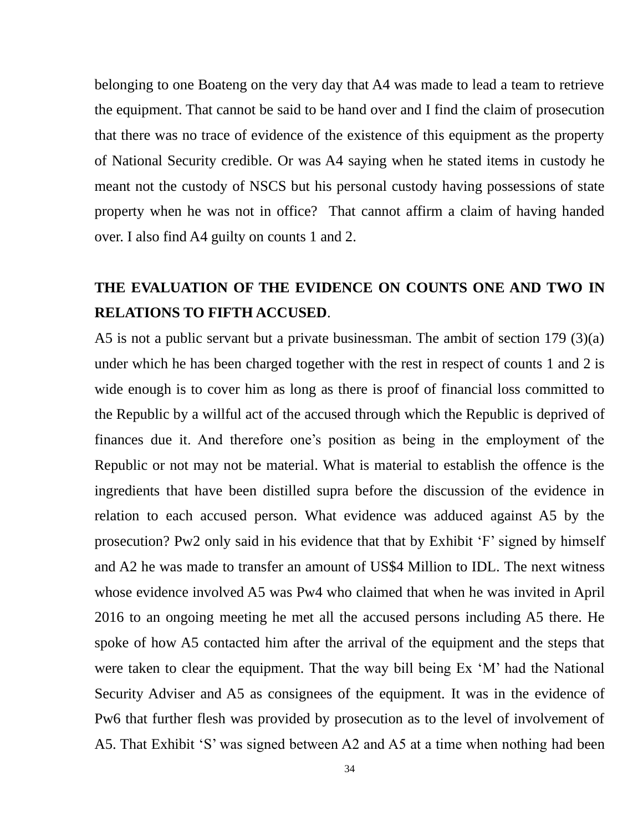belonging to one Boateng on the very day that A4 was made to lead a team to retrieve the equipment. That cannot be said to be hand over and I find the claim of prosecution that there was no trace of evidence of the existence of this equipment as the property of National Security credible. Or was A4 saying when he stated items in custody he meant not the custody of NSCS but his personal custody having possessions of state property when he was not in office? That cannot affirm a claim of having handed over. I also find A4 guilty on counts 1 and 2.

### **THE EVALUATION OF THE EVIDENCE ON COUNTS ONE AND TWO IN RELATIONS TO FIFTH ACCUSED**.

A5 is not a public servant but a private businessman. The ambit of section 179 (3)(a) under which he has been charged together with the rest in respect of counts 1 and 2 is wide enough is to cover him as long as there is proof of financial loss committed to the Republic by a willful act of the accused through which the Republic is deprived of finances due it. And therefore one's position as being in the employment of the Republic or not may not be material. What is material to establish the offence is the ingredients that have been distilled supra before the discussion of the evidence in relation to each accused person. What evidence was adduced against A5 by the prosecution? Pw2 only said in his evidence that that by Exhibit 'F' signed by himself and A2 he was made to transfer an amount of US\$4 Million to IDL. The next witness whose evidence involved A5 was Pw4 who claimed that when he was invited in April 2016 to an ongoing meeting he met all the accused persons including A5 there. He spoke of how A5 contacted him after the arrival of the equipment and the steps that were taken to clear the equipment. That the way bill being Ex 'M' had the National Security Adviser and A5 as consignees of the equipment. It was in the evidence of Pw6 that further flesh was provided by prosecution as to the level of involvement of A5. That Exhibit 'S' was signed between A2 and A5 at a time when nothing had been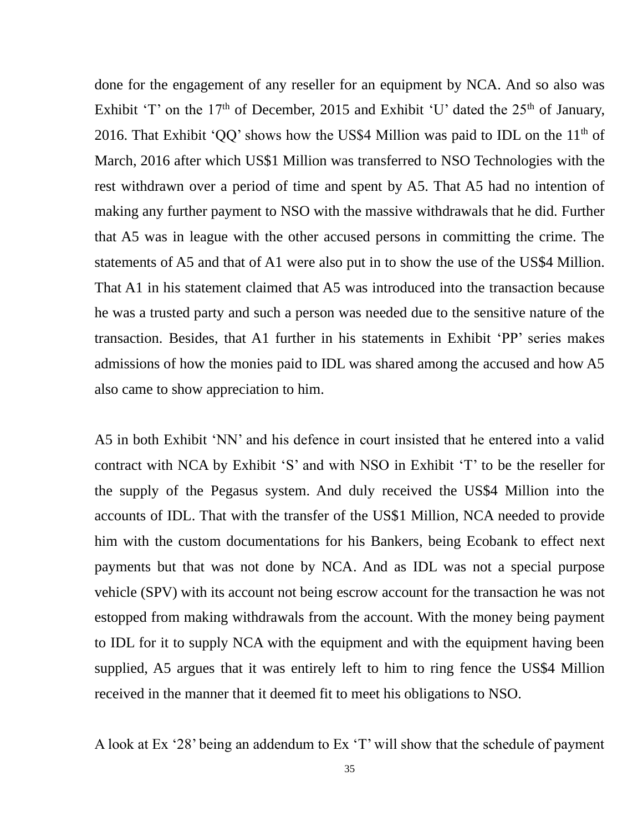done for the engagement of any reseller for an equipment by NCA. And so also was Exhibit 'T' on the  $17<sup>th</sup>$  of December, 2015 and Exhibit 'U' dated the  $25<sup>th</sup>$  of January, 2016. That Exhibit 'QQ' shows how the US\$4 Million was paid to IDL on the  $11<sup>th</sup>$  of March, 2016 after which US\$1 Million was transferred to NSO Technologies with the rest withdrawn over a period of time and spent by A5. That A5 had no intention of making any further payment to NSO with the massive withdrawals that he did. Further that A5 was in league with the other accused persons in committing the crime. The statements of A5 and that of A1 were also put in to show the use of the US\$4 Million. That A1 in his statement claimed that A5 was introduced into the transaction because he was a trusted party and such a person was needed due to the sensitive nature of the transaction. Besides, that A1 further in his statements in Exhibit 'PP' series makes admissions of how the monies paid to IDL was shared among the accused and how A5 also came to show appreciation to him.

A5 in both Exhibit 'NN' and his defence in court insisted that he entered into a valid contract with NCA by Exhibit 'S' and with NSO in Exhibit 'T' to be the reseller for the supply of the Pegasus system. And duly received the US\$4 Million into the accounts of IDL. That with the transfer of the US\$1 Million, NCA needed to provide him with the custom documentations for his Bankers, being Ecobank to effect next payments but that was not done by NCA. And as IDL was not a special purpose vehicle (SPV) with its account not being escrow account for the transaction he was not estopped from making withdrawals from the account. With the money being payment to IDL for it to supply NCA with the equipment and with the equipment having been supplied, A5 argues that it was entirely left to him to ring fence the US\$4 Million received in the manner that it deemed fit to meet his obligations to NSO.

A look at Ex '28' being an addendum to Ex 'T' will show that the schedule of payment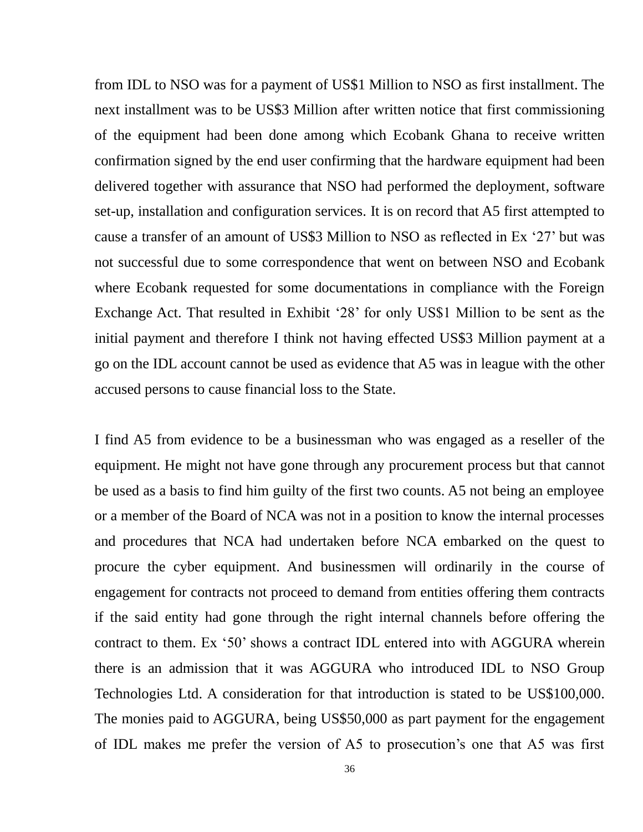from IDL to NSO was for a payment of US\$1 Million to NSO as first installment. The next installment was to be US\$3 Million after written notice that first commissioning of the equipment had been done among which Ecobank Ghana to receive written confirmation signed by the end user confirming that the hardware equipment had been delivered together with assurance that NSO had performed the deployment, software set-up, installation and configuration services. It is on record that A5 first attempted to cause a transfer of an amount of US\$3 Million to NSO as reflected in Ex '27' but was not successful due to some correspondence that went on between NSO and Ecobank where Ecobank requested for some documentations in compliance with the Foreign Exchange Act. That resulted in Exhibit '28' for only US\$1 Million to be sent as the initial payment and therefore I think not having effected US\$3 Million payment at a go on the IDL account cannot be used as evidence that A5 was in league with the other accused persons to cause financial loss to the State.

I find A5 from evidence to be a businessman who was engaged as a reseller of the equipment. He might not have gone through any procurement process but that cannot be used as a basis to find him guilty of the first two counts. A5 not being an employee or a member of the Board of NCA was not in a position to know the internal processes and procedures that NCA had undertaken before NCA embarked on the quest to procure the cyber equipment. And businessmen will ordinarily in the course of engagement for contracts not proceed to demand from entities offering them contracts if the said entity had gone through the right internal channels before offering the contract to them. Ex '50' shows a contract IDL entered into with AGGURA wherein there is an admission that it was AGGURA who introduced IDL to NSO Group Technologies Ltd. A consideration for that introduction is stated to be US\$100,000. The monies paid to AGGURA, being US\$50,000 as part payment for the engagement of IDL makes me prefer the version of A5 to prosecution's one that A5 was first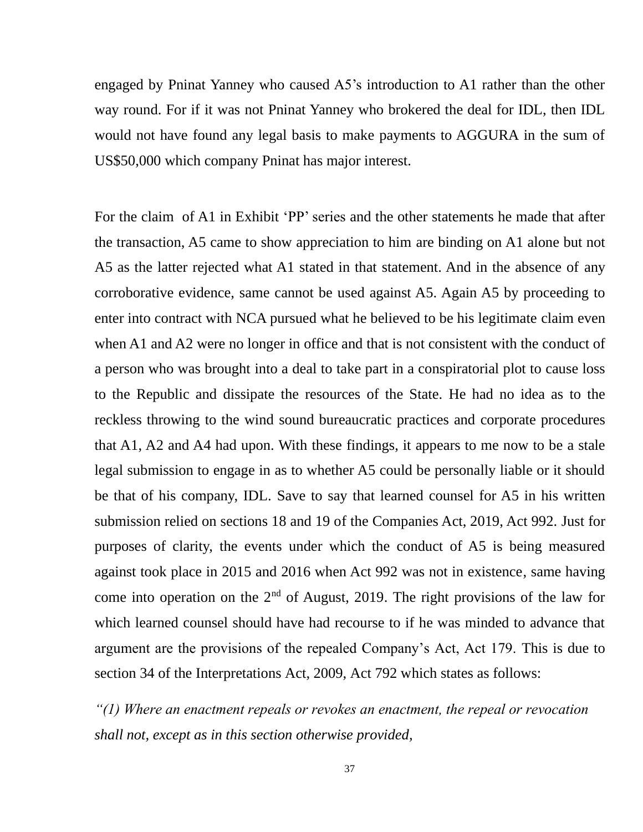engaged by Pninat Yanney who caused A5's introduction to A1 rather than the other way round. For if it was not Pninat Yanney who brokered the deal for IDL, then IDL would not have found any legal basis to make payments to AGGURA in the sum of US\$50,000 which company Pninat has major interest.

For the claim of A1 in Exhibit 'PP' series and the other statements he made that after the transaction, A5 came to show appreciation to him are binding on A1 alone but not A5 as the latter rejected what A1 stated in that statement. And in the absence of any corroborative evidence, same cannot be used against A5. Again A5 by proceeding to enter into contract with NCA pursued what he believed to be his legitimate claim even when A1 and A2 were no longer in office and that is not consistent with the conduct of a person who was brought into a deal to take part in a conspiratorial plot to cause loss to the Republic and dissipate the resources of the State. He had no idea as to the reckless throwing to the wind sound bureaucratic practices and corporate procedures that A1, A2 and A4 had upon. With these findings, it appears to me now to be a stale legal submission to engage in as to whether A5 could be personally liable or it should be that of his company, IDL. Save to say that learned counsel for A5 in his written submission relied on sections 18 and 19 of the Companies Act, 2019, Act 992. Just for purposes of clarity, the events under which the conduct of A5 is being measured against took place in 2015 and 2016 when Act 992 was not in existence, same having come into operation on the  $2<sup>nd</sup>$  of August, 2019. The right provisions of the law for which learned counsel should have had recourse to if he was minded to advance that argument are the provisions of the repealed Company's Act, Act 179. This is due to section 34 of the Interpretations Act, 2009, Act 792 which states as follows:

*"(1) Where an enactment repeals or revokes an enactment, the repeal or revocation shall not, except as in this section otherwise provided,*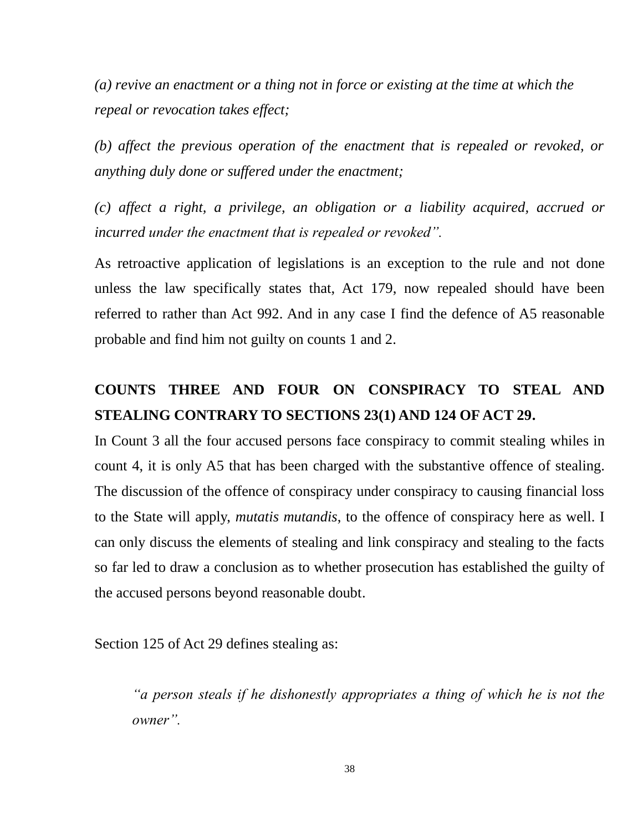*(a) revive an enactment or a thing not in force or existing at the time at which the repeal or revocation takes effect;* 

*(b) affect the previous operation of the enactment that is repealed or revoked, or anything duly done or suffered under the enactment;* 

*(c) affect a right, a privilege, an obligation or a liability acquired, accrued or incurred under the enactment that is repealed or revoked".*

As retroactive application of legislations is an exception to the rule and not done unless the law specifically states that, Act 179, now repealed should have been referred to rather than Act 992. And in any case I find the defence of A5 reasonable probable and find him not guilty on counts 1 and 2.

## **COUNTS THREE AND FOUR ON CONSPIRACY TO STEAL AND STEALING CONTRARY TO SECTIONS 23(1) AND 124 OF ACT 29.**

In Count 3 all the four accused persons face conspiracy to commit stealing whiles in count 4, it is only A5 that has been charged with the substantive offence of stealing. The discussion of the offence of conspiracy under conspiracy to causing financial loss to the State will apply, *mutatis mutandis*, to the offence of conspiracy here as well. I can only discuss the elements of stealing and link conspiracy and stealing to the facts so far led to draw a conclusion as to whether prosecution has established the guilty of the accused persons beyond reasonable doubt.

Section 125 of Act 29 defines stealing as:

*"a person steals if he dishonestly appropriates a thing of which he is not the owner".*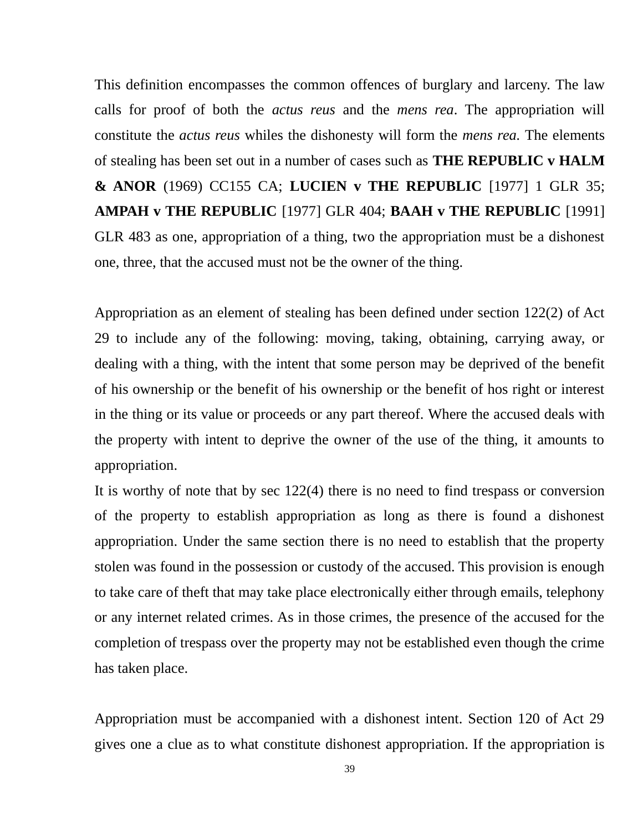This definition encompasses the common offences of burglary and larceny. The law calls for proof of both the *actus reus* and the *mens rea*. The appropriation will constitute the *actus reus* whiles the dishonesty will form the *mens rea.* The elements of stealing has been set out in a number of cases such as **THE REPUBLIC v HALM & ANOR** (1969) CC155 CA; **LUCIEN v THE REPUBLIC** [1977] 1 GLR 35; **AMPAH v THE REPUBLIC** [1977] GLR 404; **BAAH v THE REPUBLIC** [1991] GLR 483 as one, appropriation of a thing, two the appropriation must be a dishonest one, three, that the accused must not be the owner of the thing.

Appropriation as an element of stealing has been defined under section 122(2) of Act 29 to include any of the following: moving, taking, obtaining, carrying away, or dealing with a thing, with the intent that some person may be deprived of the benefit of his ownership or the benefit of his ownership or the benefit of hos right or interest in the thing or its value or proceeds or any part thereof. Where the accused deals with the property with intent to deprive the owner of the use of the thing, it amounts to appropriation.

It is worthy of note that by sec 122(4) there is no need to find trespass or conversion of the property to establish appropriation as long as there is found a dishonest appropriation. Under the same section there is no need to establish that the property stolen was found in the possession or custody of the accused. This provision is enough to take care of theft that may take place electronically either through emails, telephony or any internet related crimes. As in those crimes, the presence of the accused for the completion of trespass over the property may not be established even though the crime has taken place.

Appropriation must be accompanied with a dishonest intent. Section 120 of Act 29 gives one a clue as to what constitute dishonest appropriation. If the appropriation is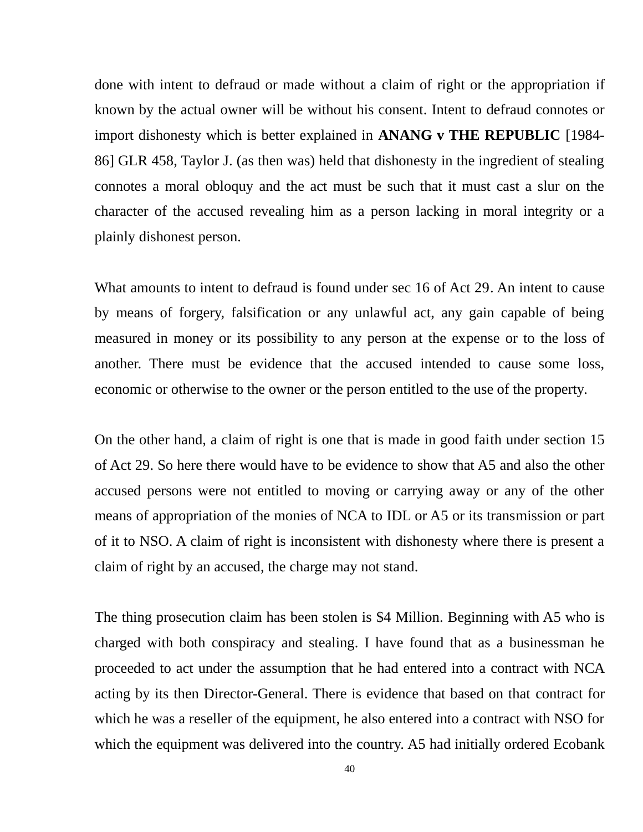done with intent to defraud or made without a claim of right or the appropriation if known by the actual owner will be without his consent. Intent to defraud connotes or import dishonesty which is better explained in **ANANG v THE REPUBLIC** [1984- 86] GLR 458, Taylor J. (as then was) held that dishonesty in the ingredient of stealing connotes a moral obloquy and the act must be such that it must cast a slur on the character of the accused revealing him as a person lacking in moral integrity or a plainly dishonest person.

What amounts to intent to defraud is found under sec 16 of Act 29. An intent to cause by means of forgery, falsification or any unlawful act, any gain capable of being measured in money or its possibility to any person at the expense or to the loss of another. There must be evidence that the accused intended to cause some loss, economic or otherwise to the owner or the person entitled to the use of the property.

On the other hand, a claim of right is one that is made in good faith under section 15 of Act 29. So here there would have to be evidence to show that A5 and also the other accused persons were not entitled to moving or carrying away or any of the other means of appropriation of the monies of NCA to IDL or A5 or its transmission or part of it to NSO. A claim of right is inconsistent with dishonesty where there is present a claim of right by an accused, the charge may not stand.

The thing prosecution claim has been stolen is \$4 Million. Beginning with A5 who is charged with both conspiracy and stealing. I have found that as a businessman he proceeded to act under the assumption that he had entered into a contract with NCA acting by its then Director-General. There is evidence that based on that contract for which he was a reseller of the equipment, he also entered into a contract with NSO for which the equipment was delivered into the country. A5 had initially ordered Ecobank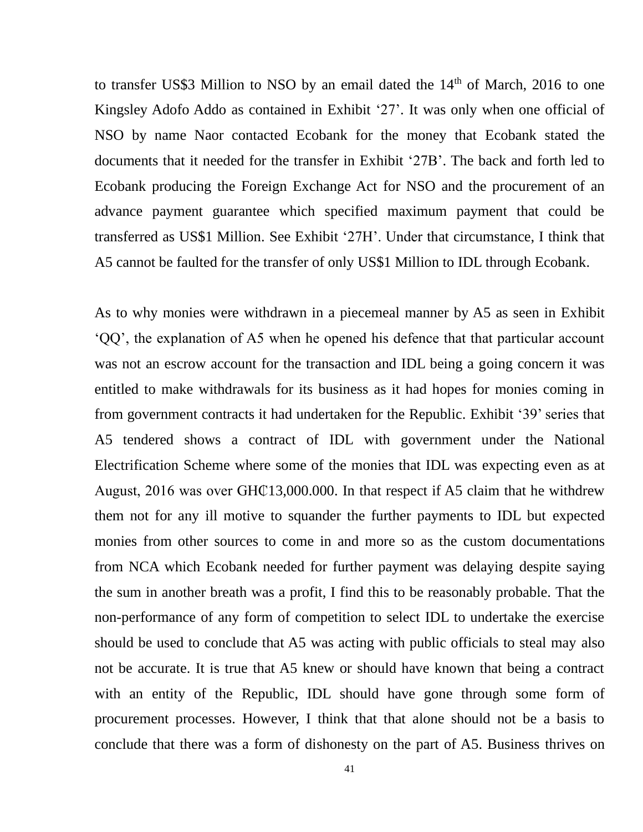to transfer US\$3 Million to NSO by an email dated the  $14<sup>th</sup>$  of March, 2016 to one Kingsley Adofo Addo as contained in Exhibit '27'. It was only when one official of NSO by name Naor contacted Ecobank for the money that Ecobank stated the documents that it needed for the transfer in Exhibit '27B'. The back and forth led to Ecobank producing the Foreign Exchange Act for NSO and the procurement of an advance payment guarantee which specified maximum payment that could be transferred as US\$1 Million. See Exhibit '27H'. Under that circumstance, I think that A5 cannot be faulted for the transfer of only US\$1 Million to IDL through Ecobank.

As to why monies were withdrawn in a piecemeal manner by A5 as seen in Exhibit 'QQ', the explanation of A5 when he opened his defence that that particular account was not an escrow account for the transaction and IDL being a going concern it was entitled to make withdrawals for its business as it had hopes for monies coming in from government contracts it had undertaken for the Republic. Exhibit '39' series that A5 tendered shows a contract of IDL with government under the National Electrification Scheme where some of the monies that IDL was expecting even as at August, 2016 was over GH $\text{\textcircled{13}}$ ,000.000. In that respect if A5 claim that he withdrew them not for any ill motive to squander the further payments to IDL but expected monies from other sources to come in and more so as the custom documentations from NCA which Ecobank needed for further payment was delaying despite saying the sum in another breath was a profit, I find this to be reasonably probable. That the non-performance of any form of competition to select IDL to undertake the exercise should be used to conclude that A5 was acting with public officials to steal may also not be accurate. It is true that A5 knew or should have known that being a contract with an entity of the Republic, IDL should have gone through some form of procurement processes. However, I think that that alone should not be a basis to conclude that there was a form of dishonesty on the part of A5. Business thrives on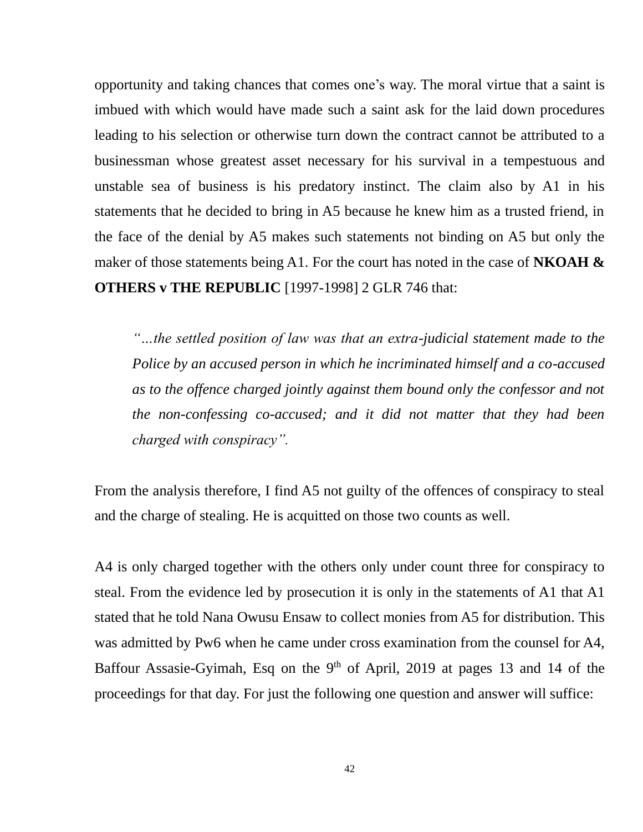opportunity and taking chances that comes one's way. The moral virtue that a saint is imbued with which would have made such a saint ask for the laid down procedures leading to his selection or otherwise turn down the contract cannot be attributed to a businessman whose greatest asset necessary for his survival in a tempestuous and unstable sea of business is his predatory instinct. The claim also by A1 in his statements that he decided to bring in A5 because he knew him as a trusted friend, in the face of the denial by A5 makes such statements not binding on A5 but only the maker of those statements being A1. For the court has noted in the case of **NKOAH & OTHERS v THE REPUBLIC** [1997-1998] 2 GLR 746 that:

*"…the settled position of law was that an extra-judicial statement made to the Police by an accused person in which he incriminated himself and a co-accused as to the offence charged jointly against them bound only the confessor and not the non-confessing co-accused; and it did not matter that they had been charged with conspiracy".*

From the analysis therefore, I find A5 not guilty of the offences of conspiracy to steal and the charge of stealing. He is acquitted on those two counts as well.

A4 is only charged together with the others only under count three for conspiracy to steal. From the evidence led by prosecution it is only in the statements of A1 that A1 stated that he told Nana Owusu Ensaw to collect monies from A5 for distribution. This was admitted by Pw6 when he came under cross examination from the counsel for A4, Baffour Assasie-Gyimah, Esq on the 9<sup>th</sup> of April, 2019 at pages 13 and 14 of the proceedings for that day. For just the following one question and answer will suffice: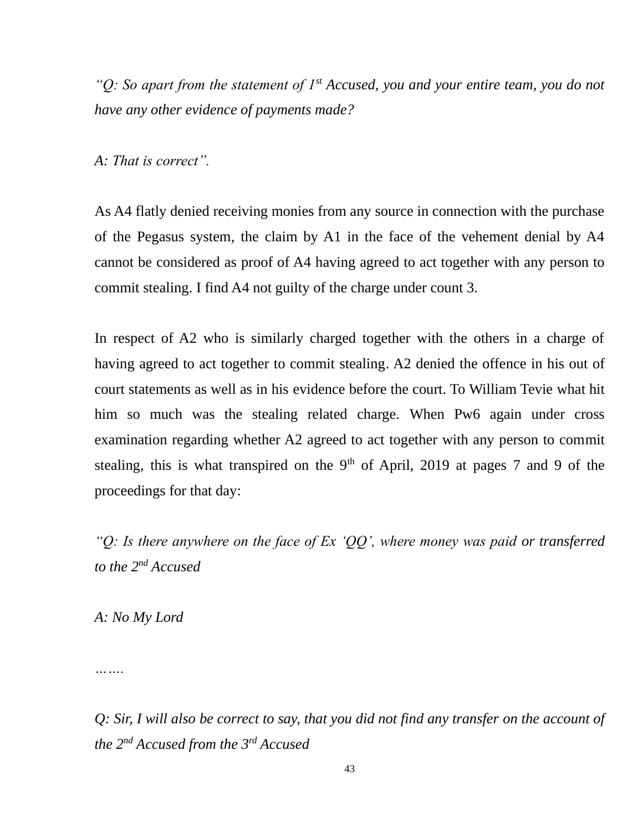*"Q: So apart from the statement of 1st Accused, you and your entire team, you do not have any other evidence of payments made?*

*A: That is correct".*

As A4 flatly denied receiving monies from any source in connection with the purchase of the Pegasus system, the claim by A1 in the face of the vehement denial by A4 cannot be considered as proof of A4 having agreed to act together with any person to commit stealing. I find A4 not guilty of the charge under count 3.

In respect of A2 who is similarly charged together with the others in a charge of having agreed to act together to commit stealing. A2 denied the offence in his out of court statements as well as in his evidence before the court. To William Tevie what hit him so much was the stealing related charge. When Pw6 again under cross examination regarding whether A2 agreed to act together with any person to commit stealing, this is what transpired on the  $9<sup>th</sup>$  of April, 2019 at pages 7 and 9 of the proceedings for that day:

*"Q: Is there anywhere on the face of Ex 'QQ', where money was paid or transferred to the 2nd Accused*

*A: No My Lord*

*…….*

*Q: Sir, I will also be correct to say, that you did not find any transfer on the account of the 2nd Accused from the 3rd Accused*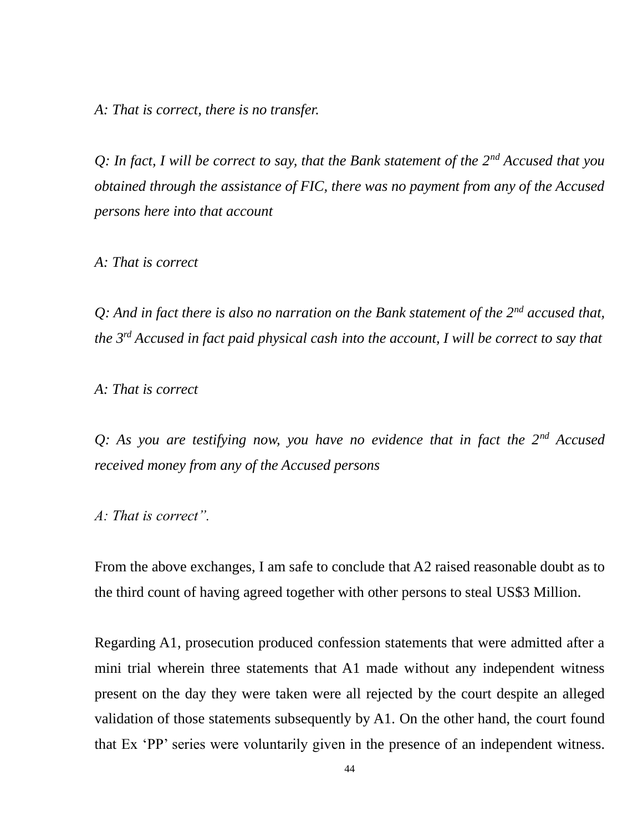*A: That is correct, there is no transfer.*

*Q: In fact, I will be correct to say, that the Bank statement of the 2nd Accused that you obtained through the assistance of FIC, there was no payment from any of the Accused persons here into that account*

*A: That is correct*

*Q: And in fact there is also no narration on the Bank statement of the 2nd accused that, the 3rd Accused in fact paid physical cash into the account, I will be correct to say that*

*A: That is correct*

*Q: As you are testifying now, you have no evidence that in fact the 2nd Accused received money from any of the Accused persons*

*A: That is correct".*

From the above exchanges, I am safe to conclude that A2 raised reasonable doubt as to the third count of having agreed together with other persons to steal US\$3 Million.

Regarding A1, prosecution produced confession statements that were admitted after a mini trial wherein three statements that A1 made without any independent witness present on the day they were taken were all rejected by the court despite an alleged validation of those statements subsequently by A1. On the other hand, the court found that Ex 'PP' series were voluntarily given in the presence of an independent witness.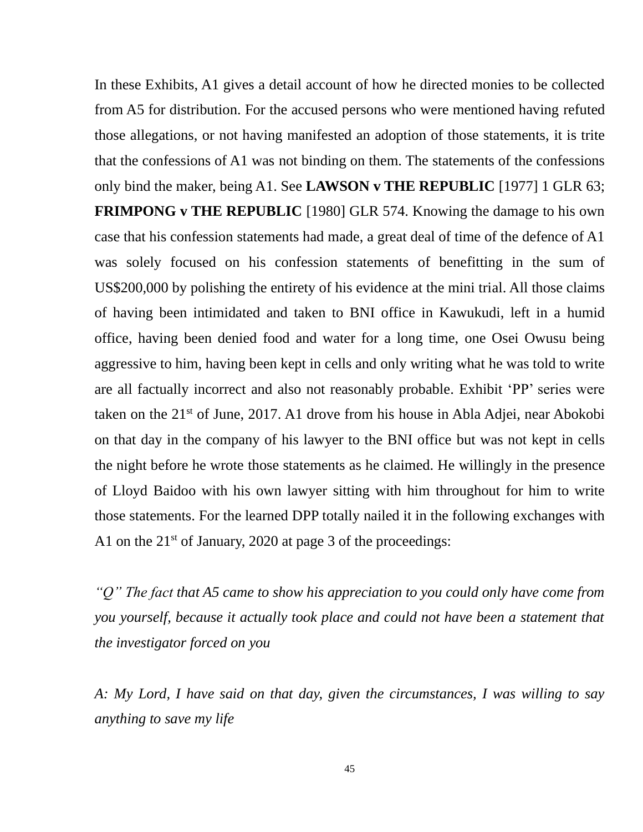In these Exhibits, A1 gives a detail account of how he directed monies to be collected from A5 for distribution. For the accused persons who were mentioned having refuted those allegations, or not having manifested an adoption of those statements, it is trite that the confessions of A1 was not binding on them. The statements of the confessions only bind the maker, being A1. See **LAWSON v THE REPUBLIC** [1977] 1 GLR 63; **FRIMPONG v THE REPUBLIC** [1980] GLR 574. Knowing the damage to his own case that his confession statements had made, a great deal of time of the defence of A1 was solely focused on his confession statements of benefitting in the sum of US\$200,000 by polishing the entirety of his evidence at the mini trial. All those claims of having been intimidated and taken to BNI office in Kawukudi, left in a humid office, having been denied food and water for a long time, one Osei Owusu being aggressive to him, having been kept in cells and only writing what he was told to write are all factually incorrect and also not reasonably probable. Exhibit 'PP' series were taken on the 21st of June, 2017. A1 drove from his house in Abla Adjei, near Abokobi on that day in the company of his lawyer to the BNI office but was not kept in cells the night before he wrote those statements as he claimed. He willingly in the presence of Lloyd Baidoo with his own lawyer sitting with him throughout for him to write those statements. For the learned DPP totally nailed it in the following exchanges with A1 on the  $21^{st}$  of January, 2020 at page 3 of the proceedings:

*"Q" The fact that A5 came to show his appreciation to you could only have come from you yourself, because it actually took place and could not have been a statement that the investigator forced on you*

*A: My Lord, I have said on that day, given the circumstances, I was willing to say anything to save my life*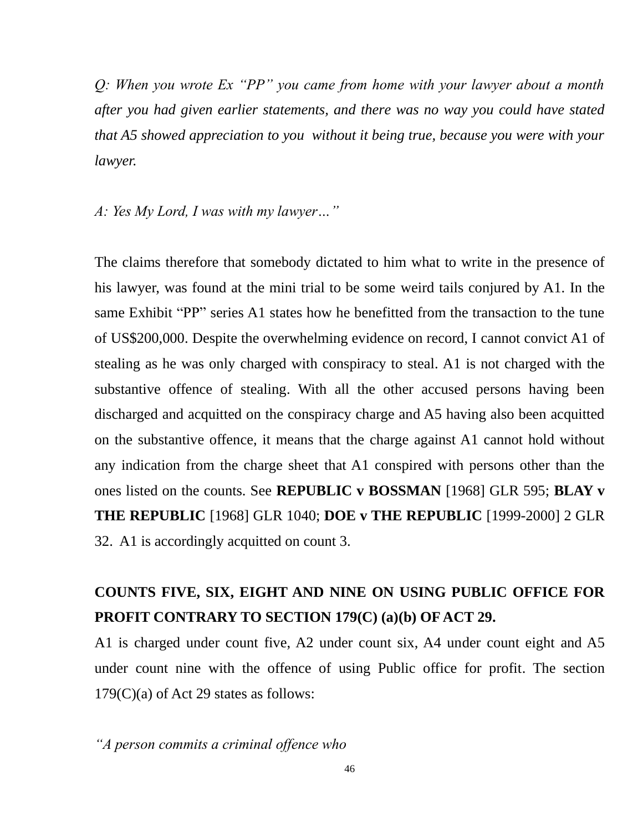*Q: When you wrote Ex "PP" you came from home with your lawyer about a month after you had given earlier statements, and there was no way you could have stated that A5 showed appreciation to you without it being true, because you were with your lawyer.*

*A: Yes My Lord, I was with my lawyer…"*

The claims therefore that somebody dictated to him what to write in the presence of his lawyer, was found at the mini trial to be some weird tails conjured by A1. In the same Exhibit "PP" series A1 states how he benefitted from the transaction to the tune of US\$200,000. Despite the overwhelming evidence on record, I cannot convict A1 of stealing as he was only charged with conspiracy to steal. A1 is not charged with the substantive offence of stealing. With all the other accused persons having been discharged and acquitted on the conspiracy charge and A5 having also been acquitted on the substantive offence, it means that the charge against A1 cannot hold without any indication from the charge sheet that A1 conspired with persons other than the ones listed on the counts. See **REPUBLIC v BOSSMAN** [1968] GLR 595; **BLAY v THE REPUBLIC** [1968] GLR 1040; **DOE v THE REPUBLIC** [1999-2000] 2 GLR 32. A1 is accordingly acquitted on count 3.

## **COUNTS FIVE, SIX, EIGHT AND NINE ON USING PUBLIC OFFICE FOR PROFIT CONTRARY TO SECTION 179(C) (a)(b) OF ACT 29.**

A1 is charged under count five, A2 under count six, A4 under count eight and A5 under count nine with the offence of using Public office for profit. The section 179(C)(a) of Act 29 states as follows:

*"A person commits a criminal offence who*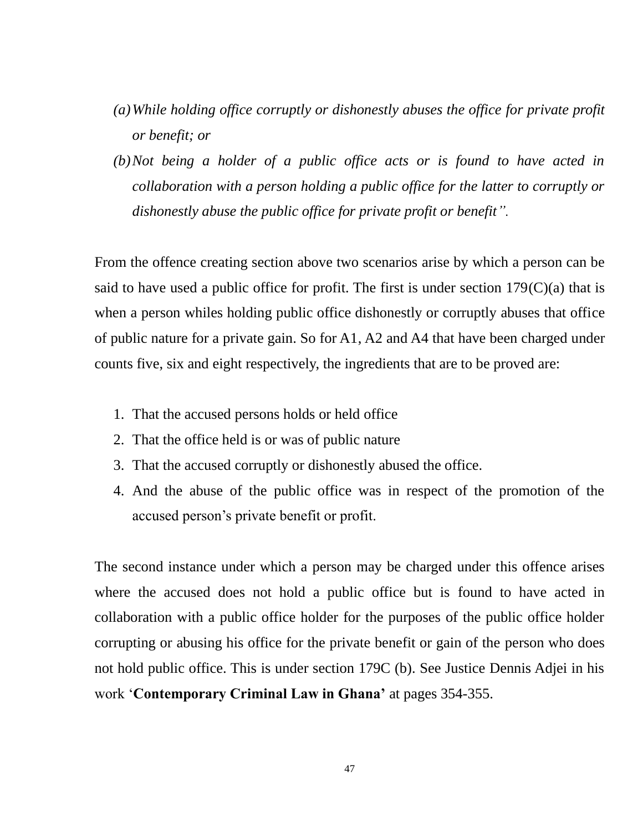- *(a)While holding office corruptly or dishonestly abuses the office for private profit or benefit; or*
- *(b)Not being a holder of a public office acts or is found to have acted in collaboration with a person holding a public office for the latter to corruptly or dishonestly abuse the public office for private profit or benefit".*

From the offence creating section above two scenarios arise by which a person can be said to have used a public office for profit. The first is under section  $179(C)(a)$  that is when a person whiles holding public office dishonestly or corruptly abuses that office of public nature for a private gain. So for A1, A2 and A4 that have been charged under counts five, six and eight respectively, the ingredients that are to be proved are:

- 1. That the accused persons holds or held office
- 2. That the office held is or was of public nature
- 3. That the accused corruptly or dishonestly abused the office.
- 4. And the abuse of the public office was in respect of the promotion of the accused person's private benefit or profit.

The second instance under which a person may be charged under this offence arises where the accused does not hold a public office but is found to have acted in collaboration with a public office holder for the purposes of the public office holder corrupting or abusing his office for the private benefit or gain of the person who does not hold public office. This is under section 179C (b). See Justice Dennis Adjei in his work '**Contemporary Criminal Law in Ghana'** at pages 354-355.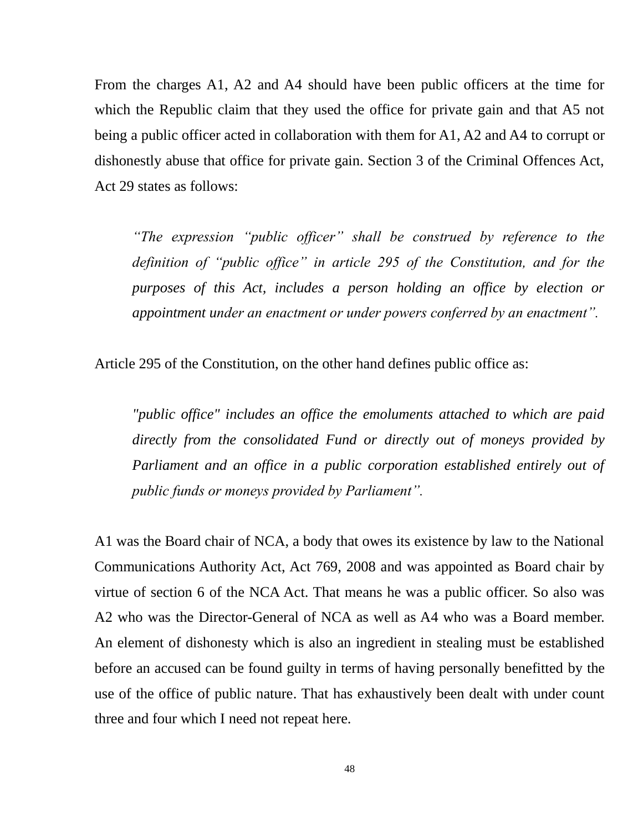From the charges A1, A2 and A4 should have been public officers at the time for which the Republic claim that they used the office for private gain and that A5 not being a public officer acted in collaboration with them for A1, A2 and A4 to corrupt or dishonestly abuse that office for private gain. Section 3 of the Criminal Offences Act, Act 29 states as follows:

*"The expression "public officer" shall be construed by reference to the definition of "public office" in article 295 of the Constitution, and for the purposes of this Act, includes a person holding an office by election or appointment under an enactment or under powers conferred by an enactment".*

Article 295 of the Constitution, on the other hand defines public office as:

*"public office" includes an office the emoluments attached to which are paid directly from the consolidated Fund or directly out of moneys provided by Parliament and an office in a public corporation established entirely out of public funds or moneys provided by Parliament".*

A1 was the Board chair of NCA, a body that owes its existence by law to the National Communications Authority Act, Act 769, 2008 and was appointed as Board chair by virtue of section 6 of the NCA Act. That means he was a public officer. So also was A2 who was the Director-General of NCA as well as A4 who was a Board member. An element of dishonesty which is also an ingredient in stealing must be established before an accused can be found guilty in terms of having personally benefitted by the use of the office of public nature. That has exhaustively been dealt with under count three and four which I need not repeat here.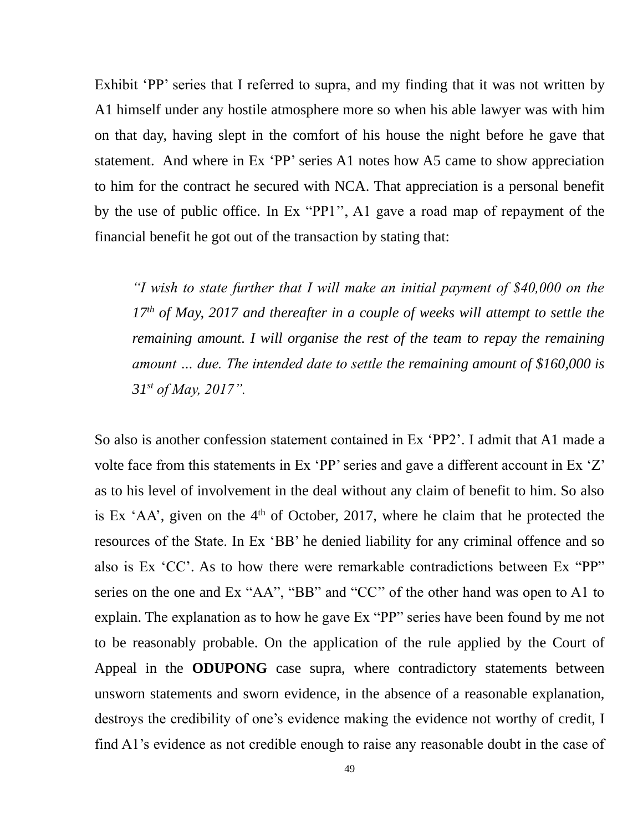Exhibit 'PP' series that I referred to supra, and my finding that it was not written by A1 himself under any hostile atmosphere more so when his able lawyer was with him on that day, having slept in the comfort of his house the night before he gave that statement. And where in Ex 'PP' series A1 notes how A5 came to show appreciation to him for the contract he secured with NCA. That appreciation is a personal benefit by the use of public office. In Ex "PP1'', A1 gave a road map of repayment of the financial benefit he got out of the transaction by stating that:

*"I wish to state further that I will make an initial payment of \$40,000 on the 17th of May, 2017 and thereafter in a couple of weeks will attempt to settle the remaining amount. I will organise the rest of the team to repay the remaining amount … due. The intended date to settle the remaining amount of \$160,000 is 31st of May, 2017".*

So also is another confession statement contained in Ex 'PP2'. I admit that A1 made a volte face from this statements in Ex 'PP' series and gave a different account in Ex 'Z' as to his level of involvement in the deal without any claim of benefit to him. So also is Ex  $AA$ , given on the  $4<sup>th</sup>$  of October, 2017, where he claim that he protected the resources of the State. In Ex 'BB' he denied liability for any criminal offence and so also is Ex 'CC'. As to how there were remarkable contradictions between Ex "PP" series on the one and Ex "AA", "BB" and "CC'' of the other hand was open to A1 to explain. The explanation as to how he gave Ex "PP" series have been found by me not to be reasonably probable. On the application of the rule applied by the Court of Appeal in the **ODUPONG** case supra, where contradictory statements between unsworn statements and sworn evidence, in the absence of a reasonable explanation, destroys the credibility of one's evidence making the evidence not worthy of credit, I find A1's evidence as not credible enough to raise any reasonable doubt in the case of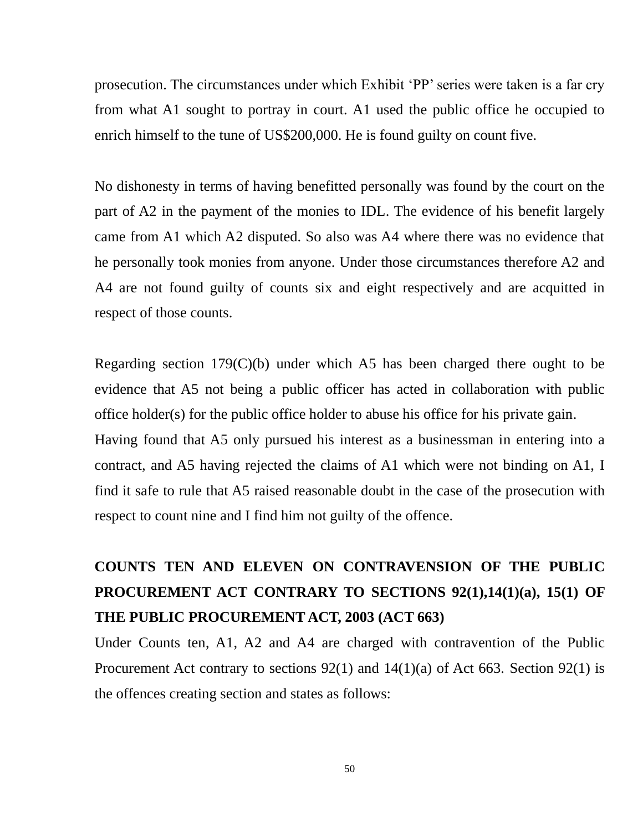prosecution. The circumstances under which Exhibit 'PP' series were taken is a far cry from what A1 sought to portray in court. A1 used the public office he occupied to enrich himself to the tune of US\$200,000. He is found guilty on count five.

No dishonesty in terms of having benefitted personally was found by the court on the part of A2 in the payment of the monies to IDL. The evidence of his benefit largely came from A1 which A2 disputed. So also was A4 where there was no evidence that he personally took monies from anyone. Under those circumstances therefore A2 and A4 are not found guilty of counts six and eight respectively and are acquitted in respect of those counts.

Regarding section 179(C)(b) under which A5 has been charged there ought to be evidence that A5 not being a public officer has acted in collaboration with public office holder(s) for the public office holder to abuse his office for his private gain. Having found that A5 only pursued his interest as a businessman in entering into a contract, and A5 having rejected the claims of A1 which were not binding on A1, I find it safe to rule that A5 raised reasonable doubt in the case of the prosecution with respect to count nine and I find him not guilty of the offence.

# **COUNTS TEN AND ELEVEN ON CONTRAVENSION OF THE PUBLIC PROCUREMENT ACT CONTRARY TO SECTIONS 92(1),14(1)(a), 15(1) OF THE PUBLIC PROCUREMENT ACT, 2003 (ACT 663)**

Under Counts ten, A1, A2 and A4 are charged with contravention of the Public Procurement Act contrary to sections  $92(1)$  and  $14(1)(a)$  of Act 663. Section  $92(1)$  is the offences creating section and states as follows: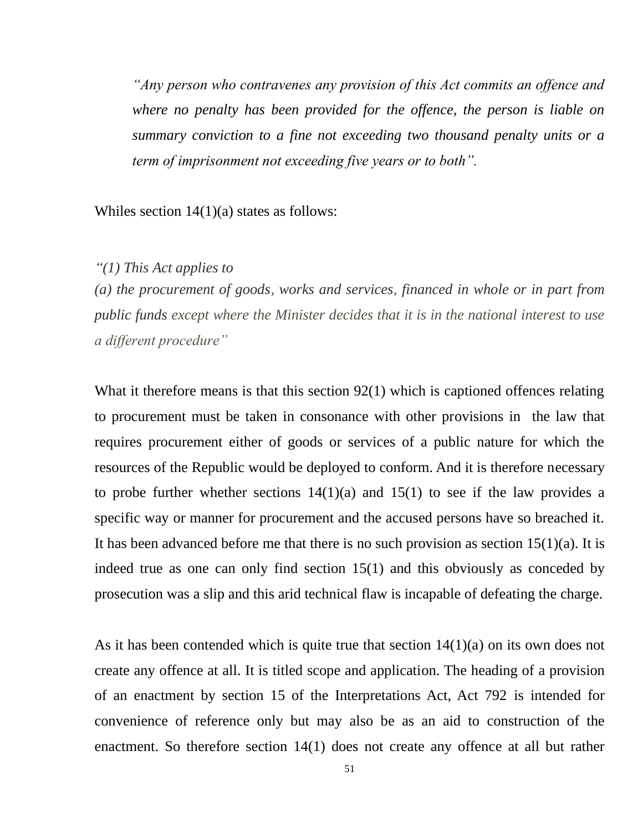*"Any person who contravenes any provision of this Act commits an offence and where no penalty has been provided for the offence, the person is liable on summary conviction to a fine not exceeding two thousand penalty units or a term of imprisonment not exceeding five years or to both".*

Whiles section  $14(1)(a)$  states as follows:

### *"(1) This Act applies to*

*(a) the procurement of goods, works and services, financed in whole or in part from public funds except where the Minister decides that it is in the national interest to use a different procedure"*

What it therefore means is that this section 92(1) which is captioned offences relating to procurement must be taken in consonance with other provisions in the law that requires procurement either of goods or services of a public nature for which the resources of the Republic would be deployed to conform. And it is therefore necessary to probe further whether sections  $14(1)(a)$  and  $15(1)$  to see if the law provides a specific way or manner for procurement and the accused persons have so breached it. It has been advanced before me that there is no such provision as section  $15(1)(a)$ . It is indeed true as one can only find section 15(1) and this obviously as conceded by prosecution was a slip and this arid technical flaw is incapable of defeating the charge.

As it has been contended which is quite true that section 14(1)(a) on its own does not create any offence at all. It is titled scope and application. The heading of a provision of an enactment by section 15 of the Interpretations Act, Act 792 is intended for convenience of reference only but may also be as an aid to construction of the enactment. So therefore section 14(1) does not create any offence at all but rather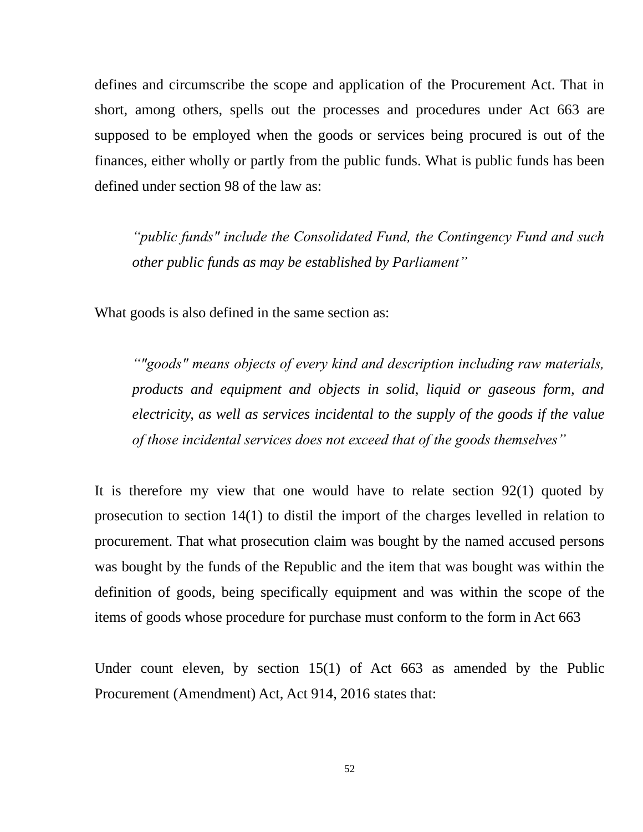defines and circumscribe the scope and application of the Procurement Act. That in short, among others, spells out the processes and procedures under Act 663 are supposed to be employed when the goods or services being procured is out of the finances, either wholly or partly from the public funds. What is public funds has been defined under section 98 of the law as:

*"public funds" include the Consolidated Fund, the Contingency Fund and such other public funds as may be established by Parliament"*

What goods is also defined in the same section as:

*""goods" means objects of every kind and description including raw materials, products and equipment and objects in solid, liquid or gaseous form, and electricity, as well as services incidental to the supply of the goods if the value of those incidental services does not exceed that of the goods themselves"*

It is therefore my view that one would have to relate section 92(1) quoted by prosecution to section 14(1) to distil the import of the charges levelled in relation to procurement. That what prosecution claim was bought by the named accused persons was bought by the funds of the Republic and the item that was bought was within the definition of goods, being specifically equipment and was within the scope of the items of goods whose procedure for purchase must conform to the form in Act 663

Under count eleven, by section 15(1) of Act 663 as amended by the Public Procurement (Amendment) Act, Act 914, 2016 states that: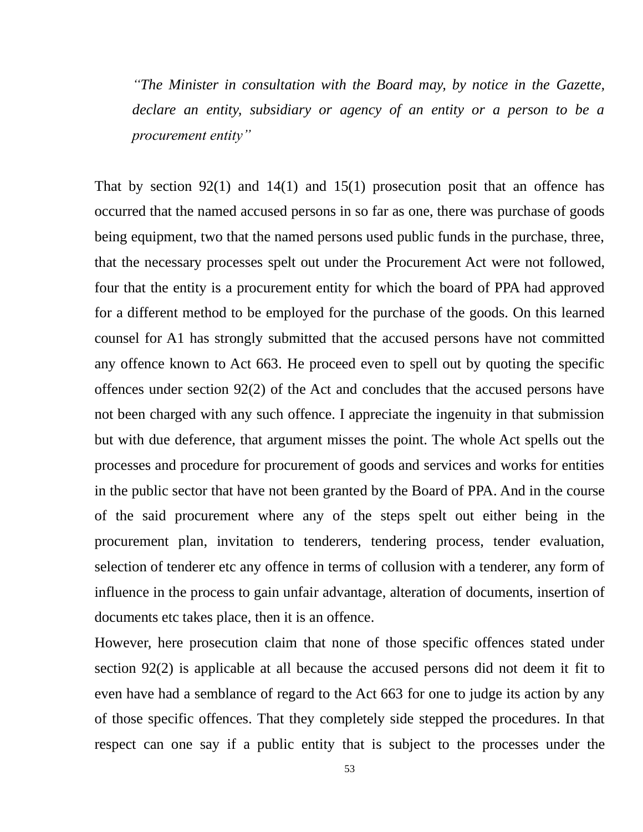*"The Minister in consultation with the Board may, by notice in the Gazette, declare an entity, subsidiary or agency of an entity or a person to be a procurement entity"*

That by section  $92(1)$  and  $14(1)$  and  $15(1)$  prosecution posit that an offence has occurred that the named accused persons in so far as one, there was purchase of goods being equipment, two that the named persons used public funds in the purchase, three, that the necessary processes spelt out under the Procurement Act were not followed, four that the entity is a procurement entity for which the board of PPA had approved for a different method to be employed for the purchase of the goods. On this learned counsel for A1 has strongly submitted that the accused persons have not committed any offence known to Act 663. He proceed even to spell out by quoting the specific offences under section 92(2) of the Act and concludes that the accused persons have not been charged with any such offence. I appreciate the ingenuity in that submission but with due deference, that argument misses the point. The whole Act spells out the processes and procedure for procurement of goods and services and works for entities in the public sector that have not been granted by the Board of PPA. And in the course of the said procurement where any of the steps spelt out either being in the procurement plan, invitation to tenderers, tendering process, tender evaluation, selection of tenderer etc any offence in terms of collusion with a tenderer, any form of influence in the process to gain unfair advantage, alteration of documents, insertion of documents etc takes place, then it is an offence.

However, here prosecution claim that none of those specific offences stated under section 92(2) is applicable at all because the accused persons did not deem it fit to even have had a semblance of regard to the Act 663 for one to judge its action by any of those specific offences. That they completely side stepped the procedures. In that respect can one say if a public entity that is subject to the processes under the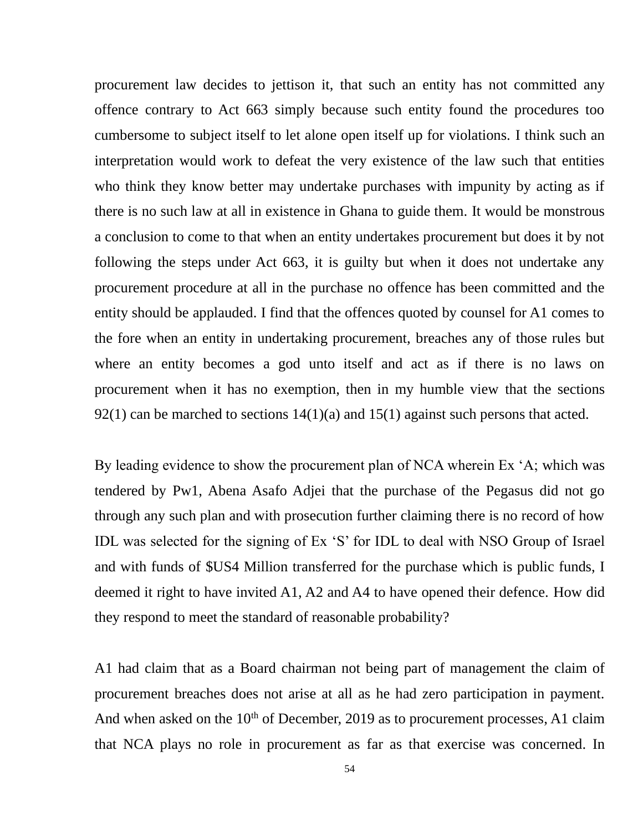procurement law decides to jettison it, that such an entity has not committed any offence contrary to Act 663 simply because such entity found the procedures too cumbersome to subject itself to let alone open itself up for violations. I think such an interpretation would work to defeat the very existence of the law such that entities who think they know better may undertake purchases with impunity by acting as if there is no such law at all in existence in Ghana to guide them. It would be monstrous a conclusion to come to that when an entity undertakes procurement but does it by not following the steps under Act 663, it is guilty but when it does not undertake any procurement procedure at all in the purchase no offence has been committed and the entity should be applauded. I find that the offences quoted by counsel for A1 comes to the fore when an entity in undertaking procurement, breaches any of those rules but where an entity becomes a god unto itself and act as if there is no laws on procurement when it has no exemption, then in my humble view that the sections  $92(1)$  can be marched to sections  $14(1)(a)$  and  $15(1)$  against such persons that acted.

By leading evidence to show the procurement plan of NCA wherein Ex 'A; which was tendered by Pw1, Abena Asafo Adjei that the purchase of the Pegasus did not go through any such plan and with prosecution further claiming there is no record of how IDL was selected for the signing of Ex 'S' for IDL to deal with NSO Group of Israel and with funds of \$US4 Million transferred for the purchase which is public funds, I deemed it right to have invited A1, A2 and A4 to have opened their defence. How did they respond to meet the standard of reasonable probability?

A1 had claim that as a Board chairman not being part of management the claim of procurement breaches does not arise at all as he had zero participation in payment. And when asked on the  $10<sup>th</sup>$  of December, 2019 as to procurement processes, A1 claim that NCA plays no role in procurement as far as that exercise was concerned. In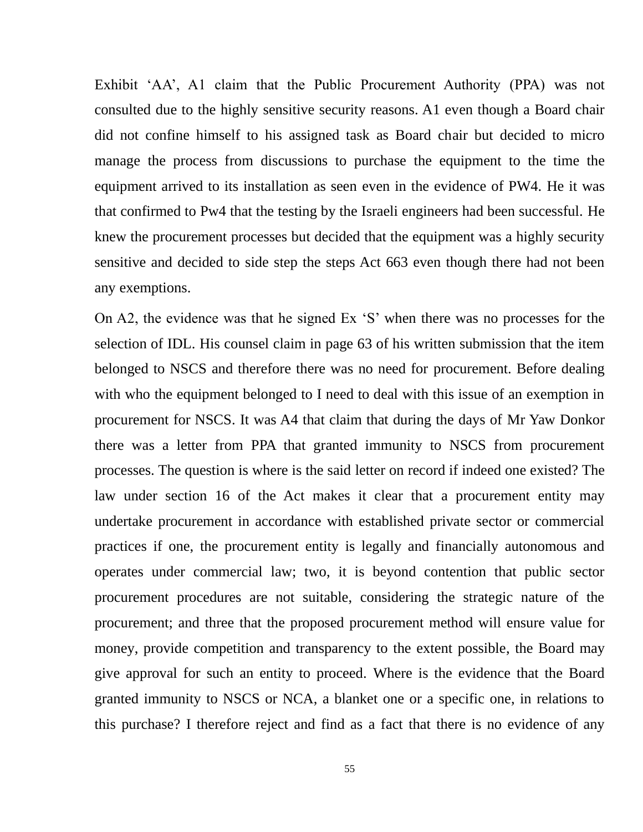Exhibit 'AA', A1 claim that the Public Procurement Authority (PPA) was not consulted due to the highly sensitive security reasons. A1 even though a Board chair did not confine himself to his assigned task as Board chair but decided to micro manage the process from discussions to purchase the equipment to the time the equipment arrived to its installation as seen even in the evidence of PW4. He it was that confirmed to Pw4 that the testing by the Israeli engineers had been successful. He knew the procurement processes but decided that the equipment was a highly security sensitive and decided to side step the steps Act 663 even though there had not been any exemptions.

On A2, the evidence was that he signed Ex 'S' when there was no processes for the selection of IDL. His counsel claim in page 63 of his written submission that the item belonged to NSCS and therefore there was no need for procurement. Before dealing with who the equipment belonged to I need to deal with this issue of an exemption in procurement for NSCS. It was A4 that claim that during the days of Mr Yaw Donkor there was a letter from PPA that granted immunity to NSCS from procurement processes. The question is where is the said letter on record if indeed one existed? The law under section 16 of the Act makes it clear that a procurement entity may undertake procurement in accordance with established private sector or commercial practices if one, the procurement entity is legally and financially autonomous and operates under commercial law; two, it is beyond contention that public sector procurement procedures are not suitable, considering the strategic nature of the procurement; and three that the proposed procurement method will ensure value for money, provide competition and transparency to the extent possible, the Board may give approval for such an entity to proceed. Where is the evidence that the Board granted immunity to NSCS or NCA, a blanket one or a specific one, in relations to this purchase? I therefore reject and find as a fact that there is no evidence of any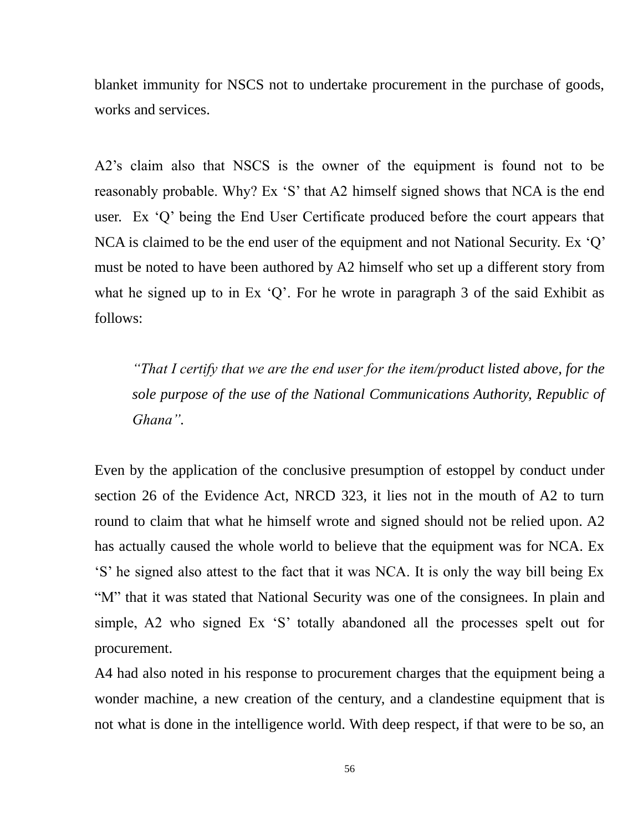blanket immunity for NSCS not to undertake procurement in the purchase of goods, works and services.

A2's claim also that NSCS is the owner of the equipment is found not to be reasonably probable. Why? Ex 'S' that A2 himself signed shows that NCA is the end user. Ex 'Q' being the End User Certificate produced before the court appears that NCA is claimed to be the end user of the equipment and not National Security. Ex 'Q' must be noted to have been authored by A2 himself who set up a different story from what he signed up to in Ex 'Q'. For he wrote in paragraph 3 of the said Exhibit as follows:

*"That I certify that we are the end user for the item/product listed above, for the sole purpose of the use of the National Communications Authority, Republic of Ghana".*

Even by the application of the conclusive presumption of estoppel by conduct under section 26 of the Evidence Act, NRCD 323, it lies not in the mouth of A2 to turn round to claim that what he himself wrote and signed should not be relied upon. A2 has actually caused the whole world to believe that the equipment was for NCA. Ex 'S' he signed also attest to the fact that it was NCA. It is only the way bill being Ex "M" that it was stated that National Security was one of the consignees. In plain and simple, A2 who signed Ex 'S' totally abandoned all the processes spelt out for procurement.

A4 had also noted in his response to procurement charges that the equipment being a wonder machine, a new creation of the century, and a clandestine equipment that is not what is done in the intelligence world. With deep respect, if that were to be so, an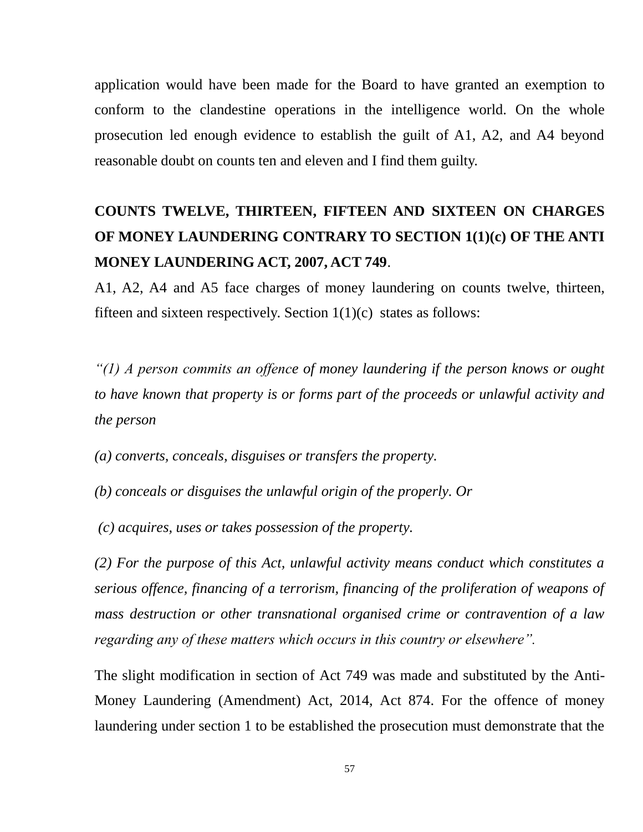application would have been made for the Board to have granted an exemption to conform to the clandestine operations in the intelligence world. On the whole prosecution led enough evidence to establish the guilt of A1, A2, and A4 beyond reasonable doubt on counts ten and eleven and I find them guilty.

# **COUNTS TWELVE, THIRTEEN, FIFTEEN AND SIXTEEN ON CHARGES OF MONEY LAUNDERING CONTRARY TO SECTION 1(1)(c) OF THE ANTI MONEY LAUNDERING ACT, 2007, ACT 749**.

A1, A2, A4 and A5 face charges of money laundering on counts twelve, thirteen, fifteen and sixteen respectively. Section  $1(1)(c)$  states as follows:

*"(1) A person commits an offence of money laundering if the person knows or ought to have known that property is or forms part of the proceeds or unlawful activity and the person* 

*(a) converts, conceals, disguises or transfers the property.* 

*(b) conceals or disguises the unlawful origin of the properly. Or*

*(c) acquires, uses or takes possession of the property.* 

*(2) For the purpose of this Act, unlawful activity means conduct which constitutes a serious offence, financing of a terrorism, financing of the proliferation of weapons of mass destruction or other transnational organised crime or contravention of a law regarding any of these matters which occurs in this country or elsewhere".* 

The slight modification in section of Act 749 was made and substituted by the Anti-Money Laundering (Amendment) Act, 2014, Act 874. For the offence of money laundering under section 1 to be established the prosecution must demonstrate that the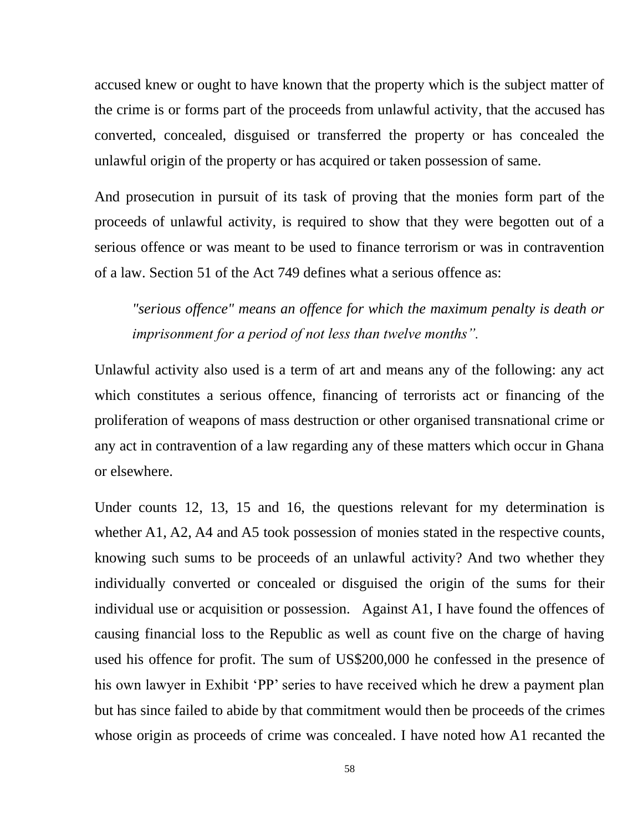accused knew or ought to have known that the property which is the subject matter of the crime is or forms part of the proceeds from unlawful activity, that the accused has converted, concealed, disguised or transferred the property or has concealed the unlawful origin of the property or has acquired or taken possession of same.

And prosecution in pursuit of its task of proving that the monies form part of the proceeds of unlawful activity, is required to show that they were begotten out of a serious offence or was meant to be used to finance terrorism or was in contravention of a law. Section 51 of the Act 749 defines what a serious offence as:

*"serious offence" means an offence for which the maximum penalty is death or imprisonment for a period of not less than twelve months".*

Unlawful activity also used is a term of art and means any of the following: any act which constitutes a serious offence, financing of terrorists act or financing of the proliferation of weapons of mass destruction or other organised transnational crime or any act in contravention of a law regarding any of these matters which occur in Ghana or elsewhere.

Under counts 12, 13, 15 and 16, the questions relevant for my determination is whether A1, A2, A4 and A5 took possession of monies stated in the respective counts, knowing such sums to be proceeds of an unlawful activity? And two whether they individually converted or concealed or disguised the origin of the sums for their individual use or acquisition or possession. Against A1, I have found the offences of causing financial loss to the Republic as well as count five on the charge of having used his offence for profit. The sum of US\$200,000 he confessed in the presence of his own lawyer in Exhibit 'PP' series to have received which he drew a payment plan but has since failed to abide by that commitment would then be proceeds of the crimes whose origin as proceeds of crime was concealed. I have noted how A1 recanted the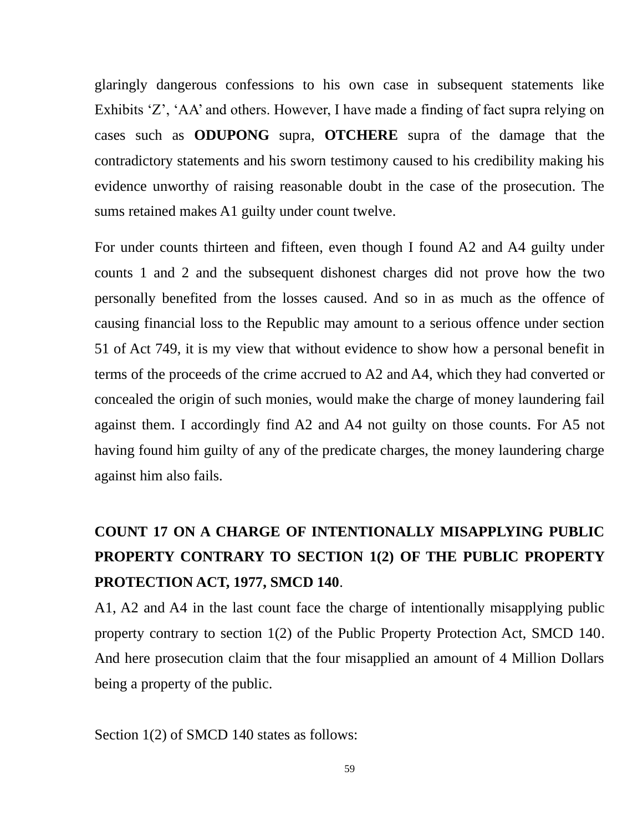glaringly dangerous confessions to his own case in subsequent statements like Exhibits 'Z', 'AA' and others. However, I have made a finding of fact supra relying on cases such as **ODUPONG** supra, **OTCHERE** supra of the damage that the contradictory statements and his sworn testimony caused to his credibility making his evidence unworthy of raising reasonable doubt in the case of the prosecution. The sums retained makes A1 guilty under count twelve.

For under counts thirteen and fifteen, even though I found A2 and A4 guilty under counts 1 and 2 and the subsequent dishonest charges did not prove how the two personally benefited from the losses caused. And so in as much as the offence of causing financial loss to the Republic may amount to a serious offence under section 51 of Act 749, it is my view that without evidence to show how a personal benefit in terms of the proceeds of the crime accrued to A2 and A4, which they had converted or concealed the origin of such monies, would make the charge of money laundering fail against them. I accordingly find A2 and A4 not guilty on those counts. For A5 not having found him guilty of any of the predicate charges, the money laundering charge against him also fails.

# **COUNT 17 ON A CHARGE OF INTENTIONALLY MISAPPLYING PUBLIC PROPERTY CONTRARY TO SECTION 1(2) OF THE PUBLIC PROPERTY PROTECTION ACT, 1977, SMCD 140**.

A1, A2 and A4 in the last count face the charge of intentionally misapplying public property contrary to section 1(2) of the Public Property Protection Act, SMCD 140. And here prosecution claim that the four misapplied an amount of 4 Million Dollars being a property of the public.

Section 1(2) of SMCD 140 states as follows: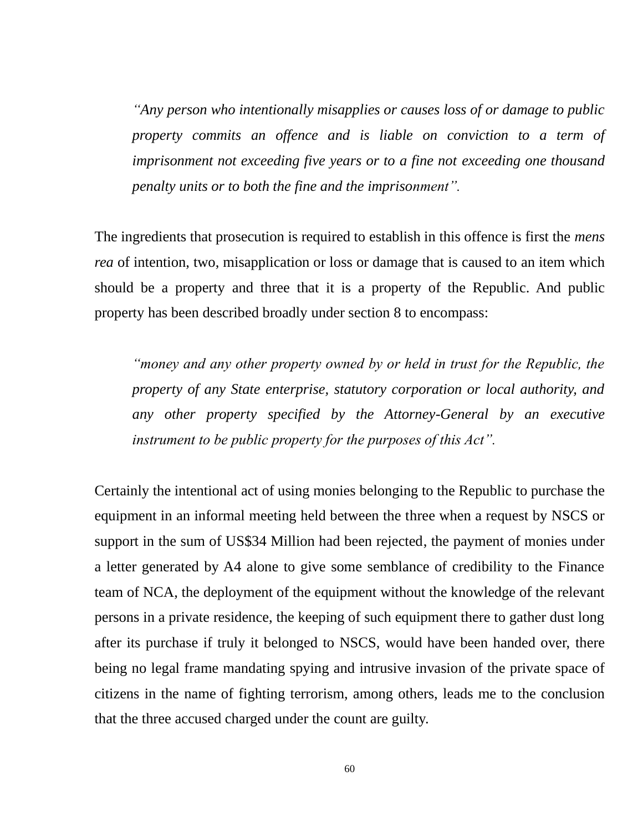*"Any person who intentionally misapplies or causes loss of or damage to public property commits an offence and is liable on conviction to a term of imprisonment not exceeding five years or to a fine not exceeding one thousand penalty units or to both the fine and the imprisonment".*

The ingredients that prosecution is required to establish in this offence is first the *mens rea* of intention, two, misapplication or loss or damage that is caused to an item which should be a property and three that it is a property of the Republic. And public property has been described broadly under section 8 to encompass:

*"money and any other property owned by or held in trust for the Republic, the property of any State enterprise, statutory corporation or local authority, and any other property specified by the Attorney-General by an executive instrument to be public property for the purposes of this Act".*

Certainly the intentional act of using monies belonging to the Republic to purchase the equipment in an informal meeting held between the three when a request by NSCS or support in the sum of US\$34 Million had been rejected, the payment of monies under a letter generated by A4 alone to give some semblance of credibility to the Finance team of NCA, the deployment of the equipment without the knowledge of the relevant persons in a private residence, the keeping of such equipment there to gather dust long after its purchase if truly it belonged to NSCS, would have been handed over, there being no legal frame mandating spying and intrusive invasion of the private space of citizens in the name of fighting terrorism, among others, leads me to the conclusion that the three accused charged under the count are guilty.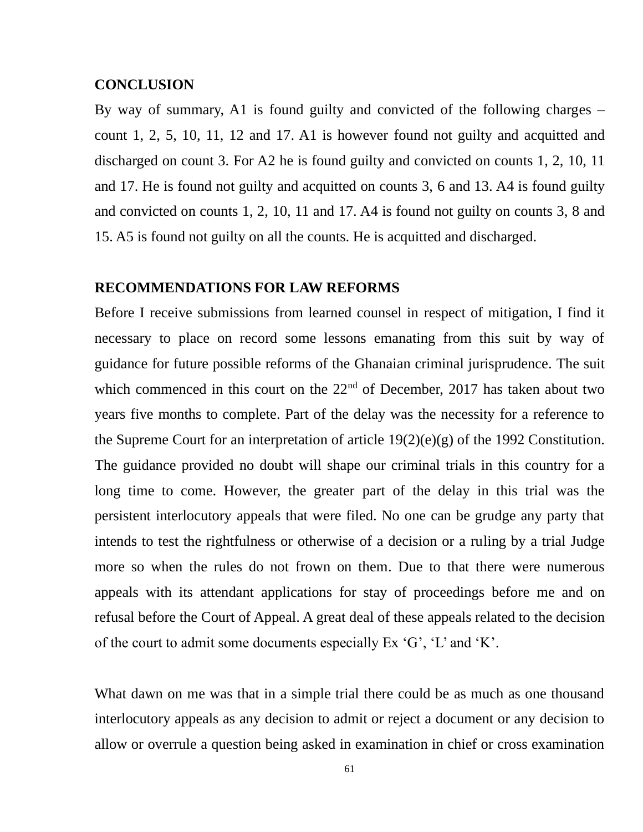### **CONCLUSION**

By way of summary, A1 is found guilty and convicted of the following charges – count 1, 2, 5, 10, 11, 12 and 17. A1 is however found not guilty and acquitted and discharged on count 3. For A2 he is found guilty and convicted on counts 1, 2, 10, 11 and 17. He is found not guilty and acquitted on counts 3, 6 and 13. A4 is found guilty and convicted on counts 1, 2, 10, 11 and 17. A4 is found not guilty on counts 3, 8 and 15. A5 is found not guilty on all the counts. He is acquitted and discharged.

### **RECOMMENDATIONS FOR LAW REFORMS**

Before I receive submissions from learned counsel in respect of mitigation, I find it necessary to place on record some lessons emanating from this suit by way of guidance for future possible reforms of the Ghanaian criminal jurisprudence. The suit which commenced in this court on the  $22<sup>nd</sup>$  of December, 2017 has taken about two years five months to complete. Part of the delay was the necessity for a reference to the Supreme Court for an interpretation of article 19(2)(e)(g) of the 1992 Constitution. The guidance provided no doubt will shape our criminal trials in this country for a long time to come. However, the greater part of the delay in this trial was the persistent interlocutory appeals that were filed. No one can be grudge any party that intends to test the rightfulness or otherwise of a decision or a ruling by a trial Judge more so when the rules do not frown on them. Due to that there were numerous appeals with its attendant applications for stay of proceedings before me and on refusal before the Court of Appeal. A great deal of these appeals related to the decision of the court to admit some documents especially Ex 'G', 'L' and 'K'.

What dawn on me was that in a simple trial there could be as much as one thousand interlocutory appeals as any decision to admit or reject a document or any decision to allow or overrule a question being asked in examination in chief or cross examination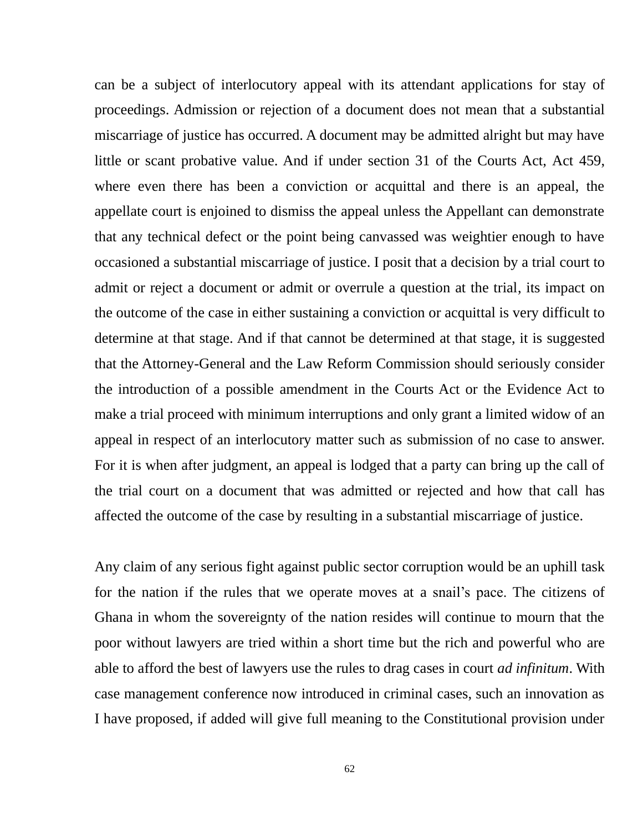can be a subject of interlocutory appeal with its attendant applications for stay of proceedings. Admission or rejection of a document does not mean that a substantial miscarriage of justice has occurred. A document may be admitted alright but may have little or scant probative value. And if under section 31 of the Courts Act, Act 459, where even there has been a conviction or acquittal and there is an appeal, the appellate court is enjoined to dismiss the appeal unless the Appellant can demonstrate that any technical defect or the point being canvassed was weightier enough to have occasioned a substantial miscarriage of justice. I posit that a decision by a trial court to admit or reject a document or admit or overrule a question at the trial, its impact on the outcome of the case in either sustaining a conviction or acquittal is very difficult to determine at that stage. And if that cannot be determined at that stage, it is suggested that the Attorney-General and the Law Reform Commission should seriously consider the introduction of a possible amendment in the Courts Act or the Evidence Act to make a trial proceed with minimum interruptions and only grant a limited widow of an appeal in respect of an interlocutory matter such as submission of no case to answer. For it is when after judgment, an appeal is lodged that a party can bring up the call of the trial court on a document that was admitted or rejected and how that call has affected the outcome of the case by resulting in a substantial miscarriage of justice.

Any claim of any serious fight against public sector corruption would be an uphill task for the nation if the rules that we operate moves at a snail's pace. The citizens of Ghana in whom the sovereignty of the nation resides will continue to mourn that the poor without lawyers are tried within a short time but the rich and powerful who are able to afford the best of lawyers use the rules to drag cases in court *ad infinitum*. With case management conference now introduced in criminal cases, such an innovation as I have proposed, if added will give full meaning to the Constitutional provision under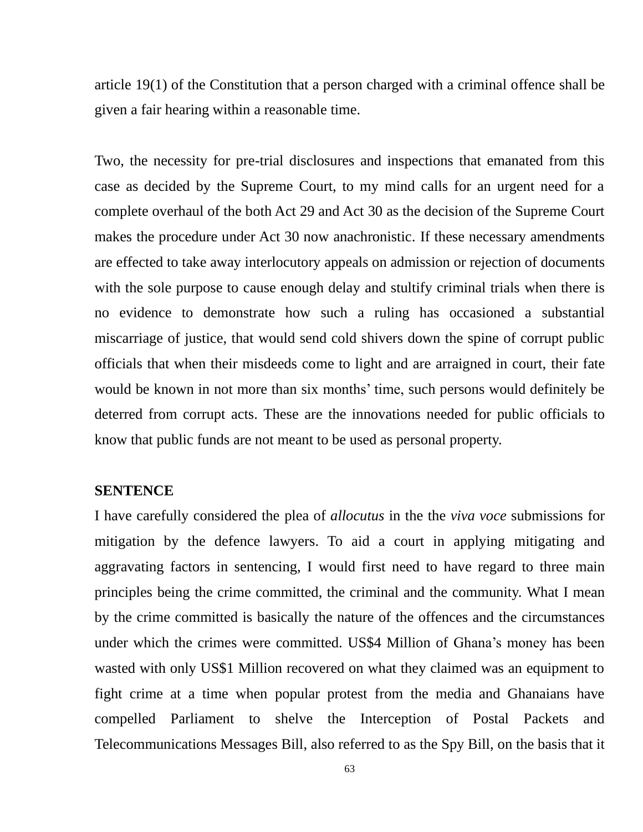article 19(1) of the Constitution that a person charged with a criminal offence shall be given a fair hearing within a reasonable time.

Two, the necessity for pre-trial disclosures and inspections that emanated from this case as decided by the Supreme Court, to my mind calls for an urgent need for a complete overhaul of the both Act 29 and Act 30 as the decision of the Supreme Court makes the procedure under Act 30 now anachronistic. If these necessary amendments are effected to take away interlocutory appeals on admission or rejection of documents with the sole purpose to cause enough delay and stultify criminal trials when there is no evidence to demonstrate how such a ruling has occasioned a substantial miscarriage of justice, that would send cold shivers down the spine of corrupt public officials that when their misdeeds come to light and are arraigned in court, their fate would be known in not more than six months' time, such persons would definitely be deterred from corrupt acts. These are the innovations needed for public officials to know that public funds are not meant to be used as personal property.

### **SENTENCE**

I have carefully considered the plea of *allocutus* in the the *viva voce* submissions for mitigation by the defence lawyers. To aid a court in applying mitigating and aggravating factors in sentencing, I would first need to have regard to three main principles being the crime committed, the criminal and the community. What I mean by the crime committed is basically the nature of the offences and the circumstances under which the crimes were committed. US\$4 Million of Ghana's money has been wasted with only US\$1 Million recovered on what they claimed was an equipment to fight crime at a time when popular protest from the media and Ghanaians have compelled Parliament to shelve the Interception of Postal Packets and Telecommunications Messages Bill, also referred to as the Spy Bill, on the basis that it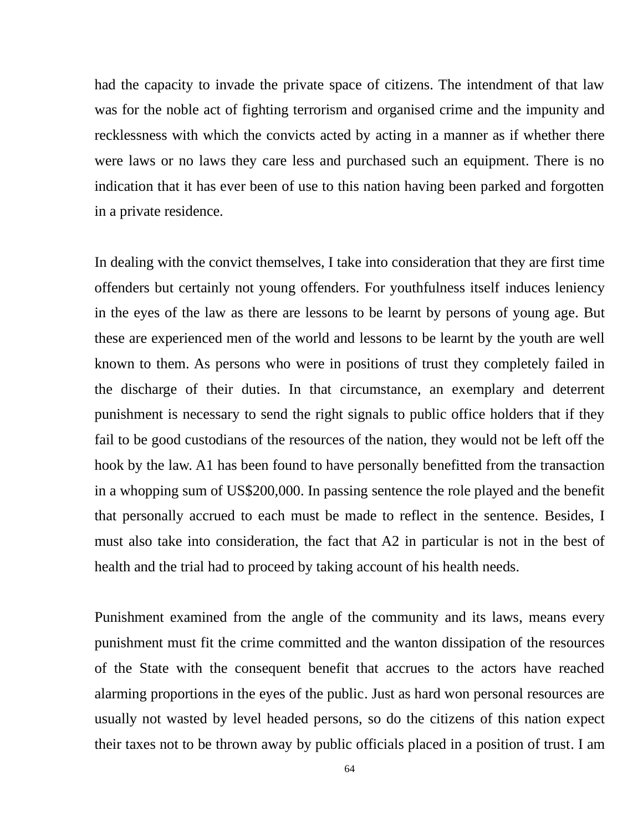had the capacity to invade the private space of citizens. The intendment of that law was for the noble act of fighting terrorism and organised crime and the impunity and recklessness with which the convicts acted by acting in a manner as if whether there were laws or no laws they care less and purchased such an equipment. There is no indication that it has ever been of use to this nation having been parked and forgotten in a private residence.

In dealing with the convict themselves, I take into consideration that they are first time offenders but certainly not young offenders. For youthfulness itself induces leniency in the eyes of the law as there are lessons to be learnt by persons of young age. But these are experienced men of the world and lessons to be learnt by the youth are well known to them. As persons who were in positions of trust they completely failed in the discharge of their duties. In that circumstance, an exemplary and deterrent punishment is necessary to send the right signals to public office holders that if they fail to be good custodians of the resources of the nation, they would not be left off the hook by the law. A1 has been found to have personally benefitted from the transaction in a whopping sum of US\$200,000. In passing sentence the role played and the benefit that personally accrued to each must be made to reflect in the sentence. Besides, I must also take into consideration, the fact that A2 in particular is not in the best of health and the trial had to proceed by taking account of his health needs.

Punishment examined from the angle of the community and its laws, means every punishment must fit the crime committed and the wanton dissipation of the resources of the State with the consequent benefit that accrues to the actors have reached alarming proportions in the eyes of the public. Just as hard won personal resources are usually not wasted by level headed persons, so do the citizens of this nation expect their taxes not to be thrown away by public officials placed in a position of trust. I am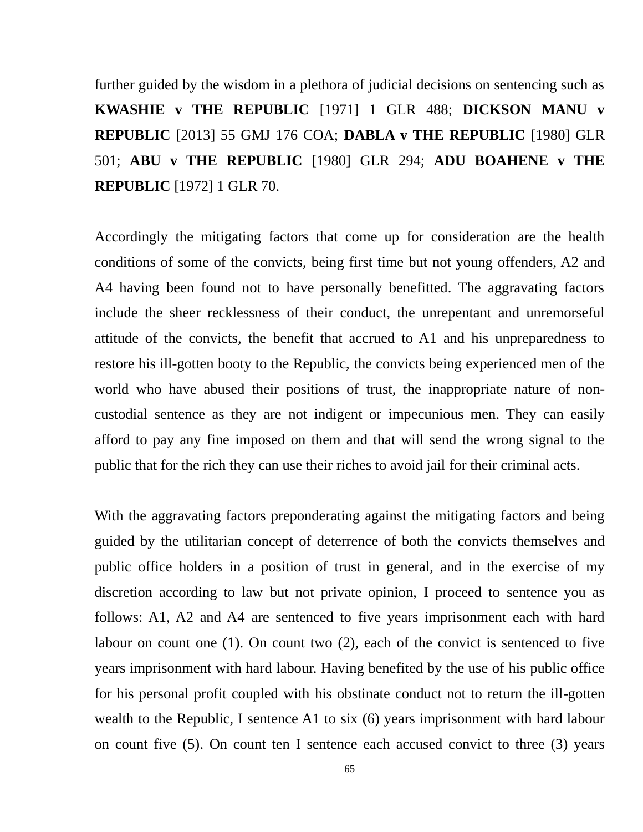further guided by the wisdom in a plethora of judicial decisions on sentencing such as **KWASHIE v THE REPUBLIC** [1971] 1 GLR 488; **DICKSON MANU v REPUBLIC** [2013] 55 GMJ 176 COA; **DABLA v THE REPUBLIC** [1980] GLR 501; **ABU v THE REPUBLIC** [1980] GLR 294; **ADU BOAHENE v THE REPUBLIC** [1972] 1 GLR 70.

Accordingly the mitigating factors that come up for consideration are the health conditions of some of the convicts, being first time but not young offenders, A2 and A4 having been found not to have personally benefitted. The aggravating factors include the sheer recklessness of their conduct, the unrepentant and unremorseful attitude of the convicts, the benefit that accrued to A1 and his unpreparedness to restore his ill-gotten booty to the Republic, the convicts being experienced men of the world who have abused their positions of trust, the inappropriate nature of noncustodial sentence as they are not indigent or impecunious men. They can easily afford to pay any fine imposed on them and that will send the wrong signal to the public that for the rich they can use their riches to avoid jail for their criminal acts.

With the aggravating factors preponderating against the mitigating factors and being guided by the utilitarian concept of deterrence of both the convicts themselves and public office holders in a position of trust in general, and in the exercise of my discretion according to law but not private opinion, I proceed to sentence you as follows: A1, A2 and A4 are sentenced to five years imprisonment each with hard labour on count one (1). On count two (2), each of the convict is sentenced to five years imprisonment with hard labour. Having benefited by the use of his public office for his personal profit coupled with his obstinate conduct not to return the ill-gotten wealth to the Republic, I sentence A1 to six (6) years imprisonment with hard labour on count five (5). On count ten I sentence each accused convict to three (3) years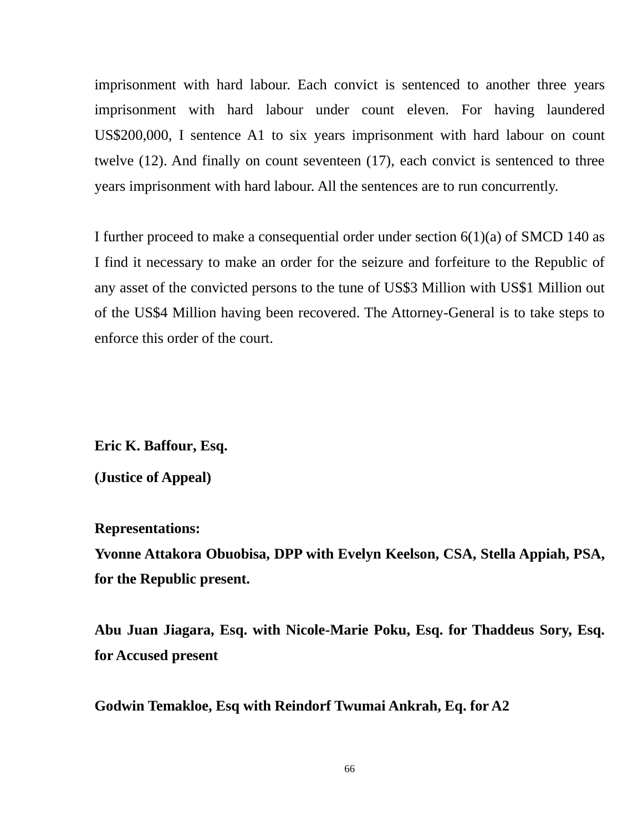imprisonment with hard labour. Each convict is sentenced to another three years imprisonment with hard labour under count eleven. For having laundered US\$200,000, I sentence A1 to six years imprisonment with hard labour on count twelve (12). And finally on count seventeen (17), each convict is sentenced to three years imprisonment with hard labour. All the sentences are to run concurrently.

I further proceed to make a consequential order under section 6(1)(a) of SMCD 140 as I find it necessary to make an order for the seizure and forfeiture to the Republic of any asset of the convicted persons to the tune of US\$3 Million with US\$1 Million out of the US\$4 Million having been recovered. The Attorney-General is to take steps to enforce this order of the court.

**Eric K. Baffour, Esq.**

**(Justice of Appeal)**

**Representations:**

**Yvonne Attakora Obuobisa, DPP with Evelyn Keelson, CSA, Stella Appiah, PSA, for the Republic present.**

**Abu Juan Jiagara, Esq. with Nicole-Marie Poku, Esq. for Thaddeus Sory, Esq. for Accused present**

**Godwin Temakloe, Esq with Reindorf Twumai Ankrah, Eq. for A2**